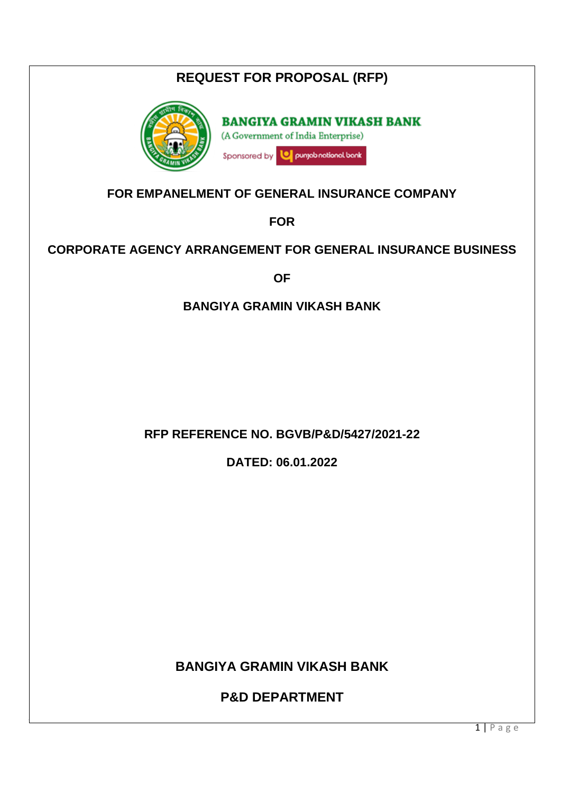| <b>REQUEST FOR PROPOSAL (RFP)</b>                                                                               |  |  |  |
|-----------------------------------------------------------------------------------------------------------------|--|--|--|
| <b>BANGIYA GRAMIN VIKASH BANK</b><br>(A Government of India Enterprise)<br>punjab national bank<br>Sponsored by |  |  |  |
| FOR EMPANELMENT OF GENERAL INSURANCE COMPANY                                                                    |  |  |  |
| <b>FOR</b>                                                                                                      |  |  |  |
| <b>CORPORATE AGENCY ARRANGEMENT FOR GENERAL INSURANCE BUSINESS</b>                                              |  |  |  |
| <b>OF</b>                                                                                                       |  |  |  |
| <b>BANGIYA GRAMIN VIKASH BANK</b>                                                                               |  |  |  |
| <b>RFP REFERENCE NO. BGVB/P&amp;D/5427/2021-22</b><br>DATED: 06.01.2022                                         |  |  |  |
| <b>BANGIYA GRAMIN VIKASH BANK</b>                                                                               |  |  |  |
| <b>P&amp;D DEPARTMENT</b>                                                                                       |  |  |  |
| $1   P \text{age}$                                                                                              |  |  |  |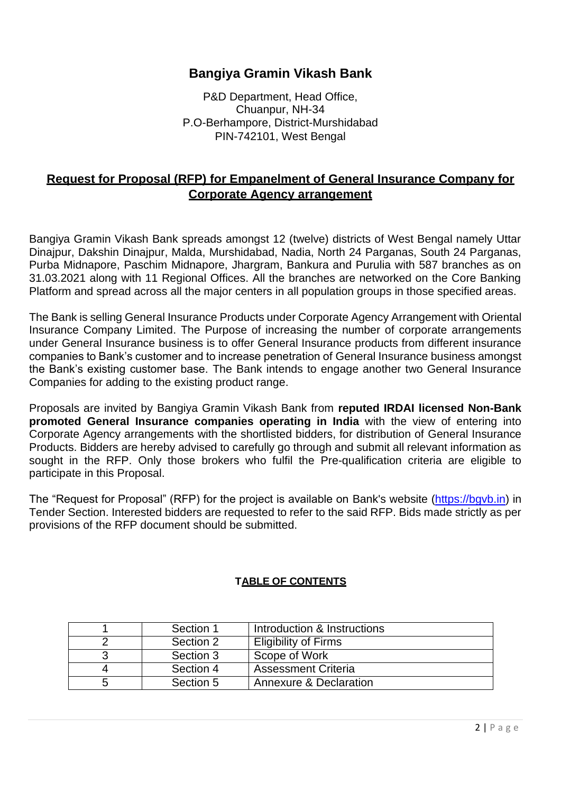## **Bangiya Gramin Vikash Bank**

P&D Department, Head Office, Chuanpur, NH-34 P.O-Berhampore, District-Murshidabad PIN-742101, West Bengal

## **Request for Proposal (RFP) for Empanelment of General Insurance Company for Corporate Agency arrangement**

Bangiya Gramin Vikash Bank spreads amongst 12 (twelve) districts of West Bengal namely Uttar Dinajpur, Dakshin Dinajpur, Malda, Murshidabad, Nadia, North 24 Parganas, South 24 Parganas, Purba Midnapore, Paschim Midnapore, Jhargram, Bankura and Purulia with 587 branches as on 31.03.2021 along with 11 Regional Offices. All the branches are networked on the Core Banking Platform and spread across all the major centers in all population groups in those specified areas.

The Bank is selling General Insurance Products under Corporate Agency Arrangement with Oriental Insurance Company Limited. The Purpose of increasing the number of corporate arrangements under General Insurance business is to offer General Insurance products from different insurance companies to Bank's customer and to increase penetration of General Insurance business amongst the Bank's existing customer base. The Bank intends to engage another two General Insurance Companies for adding to the existing product range.

Proposals are invited by Bangiya Gramin Vikash Bank from **reputed IRDAI licensed Non-Bank promoted General Insurance companies operating in India** with the view of entering into Corporate Agency arrangements with the shortlisted bidders, for distribution of General Insurance Products. Bidders are hereby advised to carefully go through and submit all relevant information as sought in the RFP. Only those brokers who fulfil the Pre-qualification criteria are eligible to participate in this Proposal.

The "Request for Proposal" (RFP) for the project is available on Bank's website [\(https://bgvb.in\)](https://bgvb.in/) in Tender Section. Interested bidders are requested to refer to the said RFP. Bids made strictly as per provisions of the RFP document should be submitted.

#### **TABLE OF CONTENTS**

|   | Section 1 | Introduction & Instructions       |
|---|-----------|-----------------------------------|
|   | Section 2 | <b>Eligibility of Firms</b>       |
|   | Section 3 | Scope of Work                     |
|   | Section 4 | <b>Assessment Criteria</b>        |
| b | Section 5 | <b>Annexure &amp; Declaration</b> |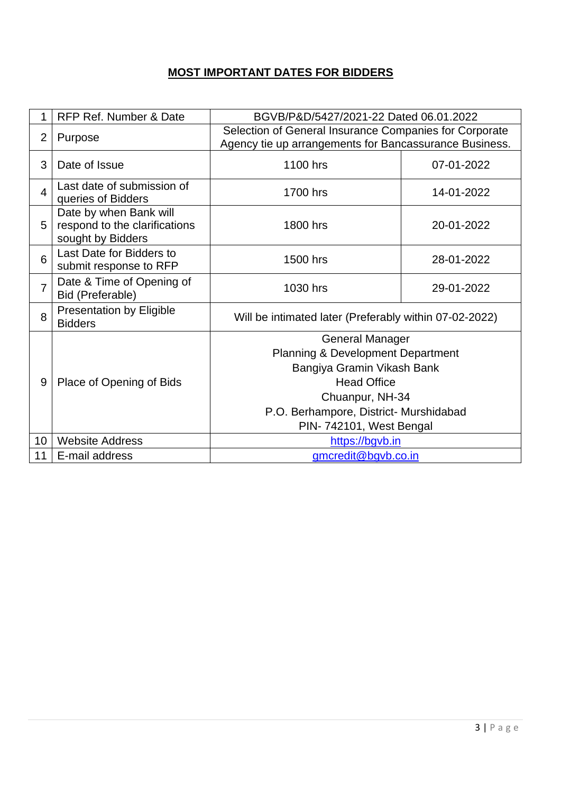## **MOST IMPORTANT DATES FOR BIDDERS**

| 1              | RFP Ref. Number & Date                                                       | BGVB/P&D/5427/2021-22 Dated 06.01.2022                                                                           |            |  |
|----------------|------------------------------------------------------------------------------|------------------------------------------------------------------------------------------------------------------|------------|--|
| $\overline{2}$ | Purpose                                                                      | Selection of General Insurance Companies for Corporate<br>Agency tie up arrangements for Bancassurance Business. |            |  |
| 3              | Date of Issue                                                                | 1100 hrs                                                                                                         | 07-01-2022 |  |
| $\overline{4}$ | Last date of submission of<br>queries of Bidders                             | 1700 hrs                                                                                                         | 14-01-2022 |  |
| 5              | Date by when Bank will<br>respond to the clarifications<br>sought by Bidders | 1800 hrs                                                                                                         | 20-01-2022 |  |
| 6              | Last Date for Bidders to<br>submit response to RFP                           | 1500 hrs                                                                                                         | 28-01-2022 |  |
| $\overline{7}$ | Date & Time of Opening of<br>Bid (Preferable)                                | 1030 hrs<br>29-01-2022                                                                                           |            |  |
| 8              | <b>Presentation by Eligible</b><br><b>Bidders</b>                            | Will be intimated later (Preferably within 07-02-2022)                                                           |            |  |
|                |                                                                              | <b>General Manager</b>                                                                                           |            |  |
|                |                                                                              | <b>Planning &amp; Development Department</b>                                                                     |            |  |
|                |                                                                              | Bangiya Gramin Vikash Bank                                                                                       |            |  |
| 9              | Place of Opening of Bids                                                     | <b>Head Office</b>                                                                                               |            |  |
|                |                                                                              | Chuanpur, NH-34                                                                                                  |            |  |
|                |                                                                              | P.O. Berhampore, District- Murshidabad                                                                           |            |  |
|                |                                                                              | PIN-742101, West Bengal                                                                                          |            |  |
| 10             | <b>Website Address</b>                                                       | https://bgvb.in                                                                                                  |            |  |
| 11             | E-mail address                                                               | gmcredit@bgvb.co.in                                                                                              |            |  |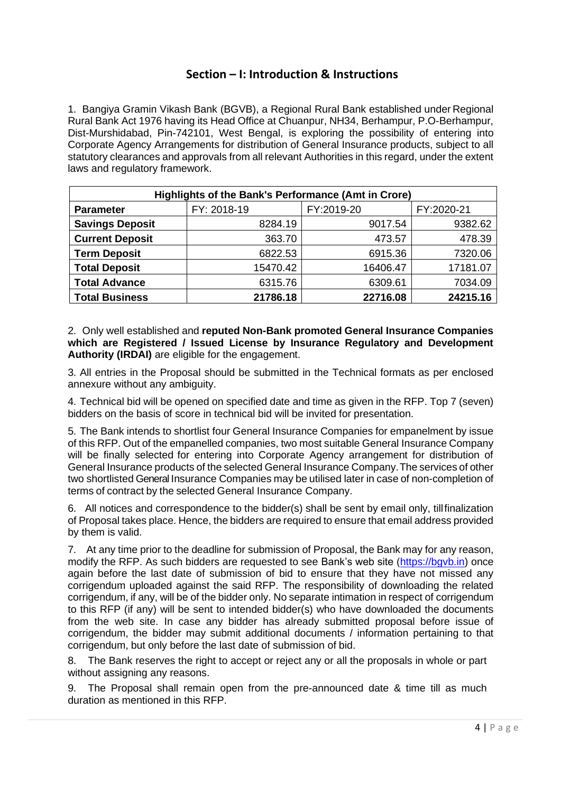## **Section – I: Introduction & Instructions**

1. Bangiya Gramin Vikash Bank (BGVB), a Regional Rural Bank established under Regional Rural Bank Act 1976 having its Head Office at Chuanpur, NH34, Berhampur, P.O-Berhampur, Dist-Murshidabad, Pin-742101, West Bengal, is exploring the possibility of entering into Corporate Agency Arrangements for distribution of General Insurance products, subject to all statutory clearances and approvals from all relevant Authorities in this regard, under the extent laws and regulatory framework.

| Highlights of the Bank's Performance (Amt in Crore) |             |            |            |  |
|-----------------------------------------------------|-------------|------------|------------|--|
| <b>Parameter</b>                                    | FY: 2018-19 | FY:2019-20 | FY:2020-21 |  |
| <b>Savings Deposit</b>                              | 8284.19     | 9017.54    | 9382.62    |  |
| <b>Current Deposit</b>                              | 363.70      | 473.57     | 478.39     |  |
| <b>Term Deposit</b>                                 | 6822.53     | 6915.36    | 7320.06    |  |
| <b>Total Deposit</b>                                | 15470.42    | 16406.47   | 17181.07   |  |
| <b>Total Advance</b>                                | 6315.76     | 6309.61    | 7034.09    |  |
| <b>Total Business</b>                               | 21786.18    | 22716.08   | 24215.16   |  |

2. Only well established and **reputed Non-Bank promoted General Insurance Companies which are Registered / Issued License by Insurance Regulatory and Development Authority (IRDAI)** are eligible for the engagement.

3. All entries in the Proposal should be submitted in the Technical formats as per enclosed annexure without any ambiguity.

4. Technical bid will be opened on specified date and time as given in the RFP. Top 7 (seven) bidders on the basis of score in technical bid will be invited for presentation.

5. The Bank intends to shortlist four General Insurance Companies for empanelment by issue of this RFP. Out of the empanelled companies, two most suitable General Insurance Company will be finally selected for entering into Corporate Agency arrangement for distribution of General Insurance products of the selected General Insurance Company. The services of other two shortlisted General Insurance Companies may be utilised later in case of non-completion of terms of contract by the selected General Insurance Company.

6. All notices and correspondence to the bidder(s) shall be sent by email only, tillfinalization of Proposal takes place. Hence, the bidders are required to ensure that email address provided by them is valid.

7. At any time prior to the deadline for submission of Proposal, the Bank may for any reason, modify the RFP. As such bidders are requested to see Bank's web site [\(https://bgvb.in\)](https://bgvb.in/) once again before the last date of submission of bid to ensure that they have not missed any corrigendum uploaded against the said RFP. The responsibility of downloading the related corrigendum, if any, will be of the bidder only. No separate intimation in respect of corrigendum to this RFP (if any) will be sent to intended bidder(s) who have downloaded the documents from the web site. In case any bidder has already submitted proposal before issue of corrigendum, the bidder may submit additional documents / information pertaining to that corrigendum, but only before the last date of submission of bid.

8. The Bank reserves the right to accept or reject any or all the proposals in whole or part without assigning any reasons.

9. The Proposal shall remain open from the pre-announced date & time till as much duration as mentioned in this RFP.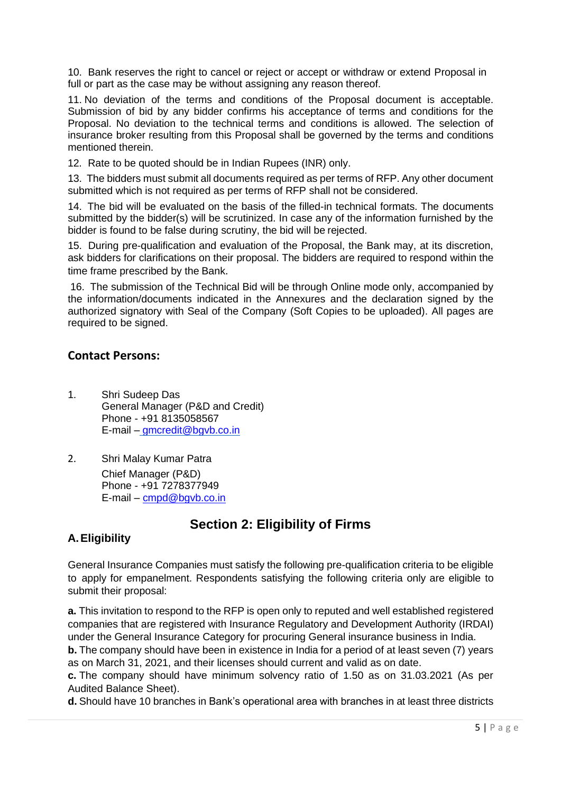10. Bank reserves the right to cancel or reject or accept or withdraw or extend Proposal in full or part as the case may be without assigning any reason thereof.

11. No deviation of the terms and conditions of the Proposal document is acceptable. Submission of bid by any bidder confirms his acceptance of terms and conditions for the Proposal. No deviation to the technical terms and conditions is allowed. The selection of insurance broker resulting from this Proposal shall be governed by the terms and conditions mentioned therein.

12. Rate to be quoted should be in Indian Rupees (INR) only.

13. The bidders must submit all documents required as per terms of RFP. Any other document submitted which is not required as per terms of RFP shall not be considered.

14. The bid will be evaluated on the basis of the filled-in technical formats. The documents submitted by the bidder(s) will be scrutinized. In case any of the information furnished by the bidder is found to be false during scrutiny, the bid will be rejected.

15. During pre-qualification and evaluation of the Proposal, the Bank may, at its discretion, ask bidders for clarifications on their proposal. The bidders are required to respond within the time frame prescribed by the Bank.

16. The submission of the Technical Bid will be through Online mode only, accompanied by the information/documents indicated in the Annexures and the declaration signed by the authorized signatory with Seal of the Company (Soft Copies to be uploaded). All pages are required to be signed.

## **Contact Persons:**

- 1. Shri Sudeep Das General Manager (P&D and Credit) Phone - +91 8135058567 E-mail – [gmcredit@bgvb.co.in](mailto:gmcredit@bgvb.co.in)
- 2. Shri Malay Kumar Patra Chief Manager (P&D) Phone - +91 7278377949 E-mail – [cmpd@bgvb.co.in](mailto:cmpd@bgvb.co.in)

# **Section 2: Eligibility of Firms**

### **A.Eligibility**

General Insurance Companies must satisfy the following pre-qualification criteria to be eligible to apply for empanelment. Respondents satisfying the following criteria only are eligible to submit their proposal:

**a.** This invitation to respond to the RFP is open only to reputed and well established registered companies that are registered with Insurance Regulatory and Development Authority (IRDAI) under the General Insurance Category for procuring General insurance business in India.

**b.** The company should have been in existence in India for a period of at least seven (7) years as on March 31, 2021, and their licenses should current and valid as on date.

**c.** The company should have minimum solvency ratio of 1.50 as on 31.03.2021 (As per Audited Balance Sheet).

**d.** Should have 10 branches in Bank's operational area with branches in at least three districts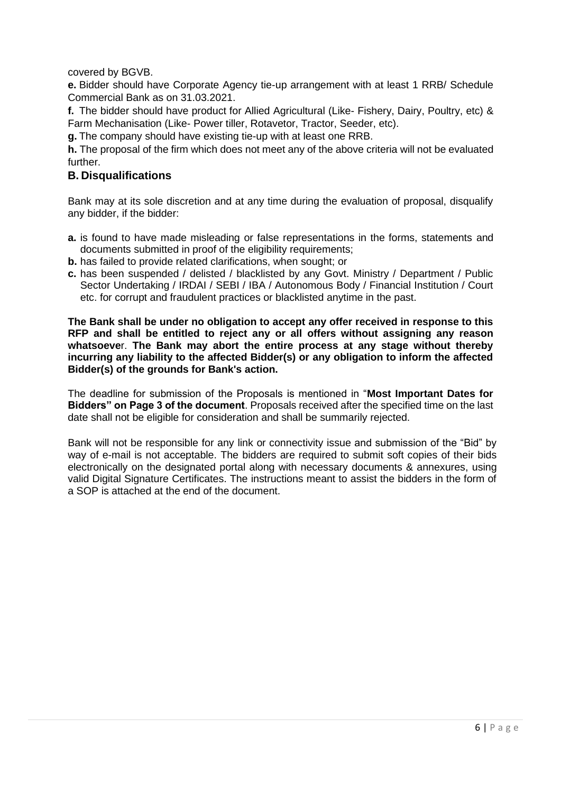covered by BGVB.

**e.** Bidder should have Corporate Agency tie-up arrangement with at least 1 RRB/ Schedule Commercial Bank as on 31.03.2021.

**f.** The bidder should have product for Allied Agricultural (Like- Fishery, Dairy, Poultry, etc) & Farm Mechanisation (Like- Power tiller, Rotavetor, Tractor, Seeder, etc).

**g.** The company should have existing tie-up with at least one RRB.

**h.** The proposal of the firm which does not meet any of the above criteria will not be evaluated further.

#### **B. Disqualifications**

Bank may at its sole discretion and at any time during the evaluation of proposal, disqualify any bidder, if the bidder:

- **a.** is found to have made misleading or false representations in the forms, statements and documents submitted in proof of the eligibility requirements;
- **b.** has failed to provide related clarifications, when sought; or
- **c.** has been suspended / delisted / blacklisted by any Govt. Ministry / Department / Public Sector Undertaking / IRDAI / SEBI / IBA / Autonomous Body / Financial Institution / Court etc. for corrupt and fraudulent practices or blacklisted anytime in the past.

**The Bank shall be under no obligation to accept any offer received in response to this RFP and shall be entitled to reject any or all offers without assigning any reason whatsoeve**r. **The Bank may abort the entire process at any stage without thereby incurring any liability to the affected Bidder(s) or any obligation to inform the affected Bidder(s) of the grounds for Bank's action.**

The deadline for submission of the Proposals is mentioned in "**Most Important Dates for Bidders" on Page 3 of the document**. Proposals received after the specified time on the last date shall not be eligible for consideration and shall be summarily rejected.

Bank will not be responsible for any link or connectivity issue and submission of the "Bid" by way of e-mail is not acceptable. The bidders are required to submit soft copies of their bids electronically on the designated portal along with necessary documents & annexures, using valid Digital Signature Certificates. The instructions meant to assist the bidders in the form of a SOP is attached at the end of the document.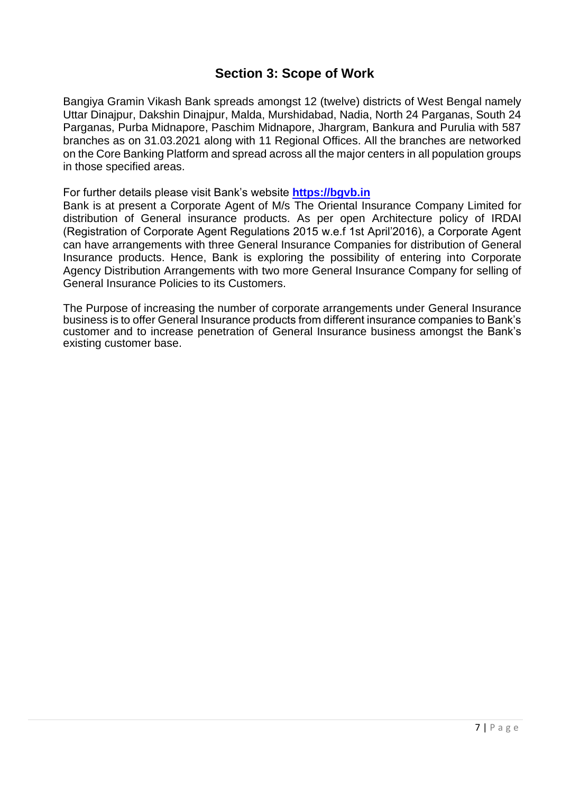## **Section 3: Scope of Work**

Bangiya Gramin Vikash Bank spreads amongst 12 (twelve) districts of West Bengal namely Uttar Dinajpur, Dakshin Dinajpur, Malda, Murshidabad, Nadia, North 24 Parganas, South 24 Parganas, Purba Midnapore, Paschim Midnapore, Jhargram, Bankura and Purulia with 587 branches as on 31.03.2021 along with 11 Regional Offices. All the branches are networked on the Core Banking Platform and spread across all the major centers in all population groups in those specified areas.

For further details please visit Bank's website **[https://bgvb.in](https://bgvb.in/)**

Bank is at present a Corporate Agent of M/s The Oriental Insurance Company Limited for distribution of General insurance products. As per open Architecture policy of IRDAI (Registration of Corporate Agent Regulations 2015 w.e.f 1st April'2016), a Corporate Agent can have arrangements with three General Insurance Companies for distribution of General Insurance products. Hence, Bank is exploring the possibility of entering into Corporate Agency Distribution Arrangements with two more General Insurance Company for selling of General Insurance Policies to its Customers.

The Purpose of increasing the number of corporate arrangements under General Insurance business is to offer General Insurance products from different insurance companies to Bank's customer and to increase penetration of General Insurance business amongst the Bank's existing customer base.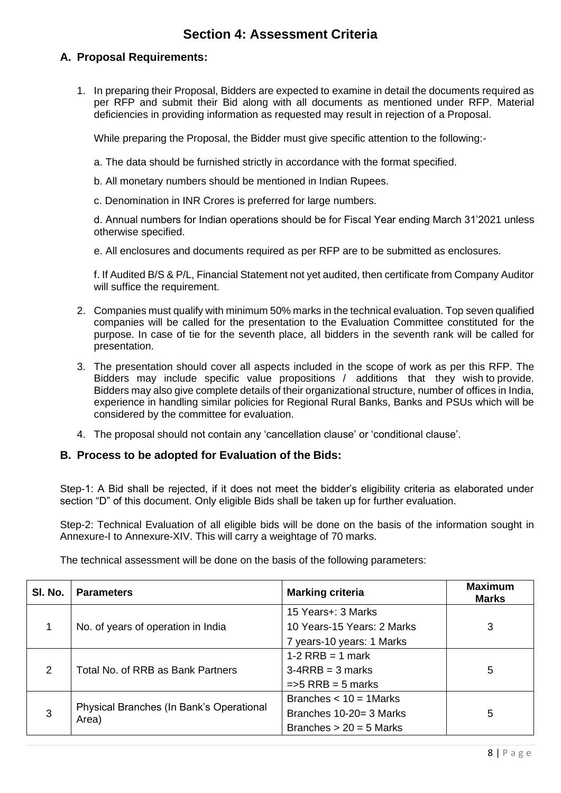## **Section 4: Assessment Criteria**

### **A. Proposal Requirements:**

1. In preparing their Proposal, Bidders are expected to examine in detail the documents required as per RFP and submit their Bid along with all documents as mentioned under RFP. Material deficiencies in providing information as requested may result in rejection of a Proposal.

While preparing the Proposal, the Bidder must give specific attention to the following:-

- a. The data should be furnished strictly in accordance with the format specified.
- b. All monetary numbers should be mentioned in Indian Rupees.
- c. Denomination in INR Crores is preferred for large numbers.

d. Annual numbers for Indian operations should be for Fiscal Year ending March 31'2021 unless otherwise specified.

e. All enclosures and documents required as per RFP are to be submitted as enclosures.

f. If Audited B/S & P/L, Financial Statement not yet audited, then certificate from Company Auditor will suffice the requirement.

- 2. Companies must qualify with minimum 50% marks in the technical evaluation. Top seven qualified companies will be called for the presentation to the Evaluation Committee constituted for the purpose. In case of tie for the seventh place, all bidders in the seventh rank will be called for presentation.
- 3. The presentation should cover all aspects included in the scope of work as per this RFP. The Bidders may include specific value propositions / additions that they wish to provide. Bidders may also give complete details of their organizational structure, number of offices in India, experience in handling similar policies for Regional Rural Banks, Banks and PSUs which will be considered by the committee for evaluation.
- 4. The proposal should not contain any 'cancellation clause' or 'conditional clause'.

#### **B. Process to be adopted for Evaluation of the Bids:**

Step-1: A Bid shall be rejected, if it does not meet the bidder's eligibility criteria as elaborated under section "D" of this document. Only eligible Bids shall be taken up for further evaluation.

Step-2: Technical Evaluation of all eligible bids will be done on the basis of the information sought in Annexure-I to Annexure-XIV. This will carry a weightage of 70 marks.

The technical assessment will be done on the basis of the following parameters:

| SI. No. | <b>Parameters</b>                                 | <b>Marking criteria</b>       | <b>Maximum</b><br><b>Marks</b> |
|---------|---------------------------------------------------|-------------------------------|--------------------------------|
|         |                                                   | 15 Years+: 3 Marks            |                                |
|         | No. of years of operation in India                | 10 Years-15 Years: 2 Marks    | 3                              |
|         |                                                   | 7 years-10 years: 1 Marks     |                                |
|         |                                                   | $1-2$ RRB = 1 mark            |                                |
| 2       | Total No. of RRB as Bank Partners                 | $3-4RRB = 3 marks$            | 5                              |
|         |                                                   | $\Rightarrow$ 5 RRB = 5 marks |                                |
|         |                                                   | Branches $<$ 10 = 1 Marks     |                                |
| 3       | Physical Branches (In Bank's Operational<br>Area) | Branches 10-20= 3 Marks       | 5                              |
|         |                                                   | Branches $> 20 = 5$ Marks     |                                |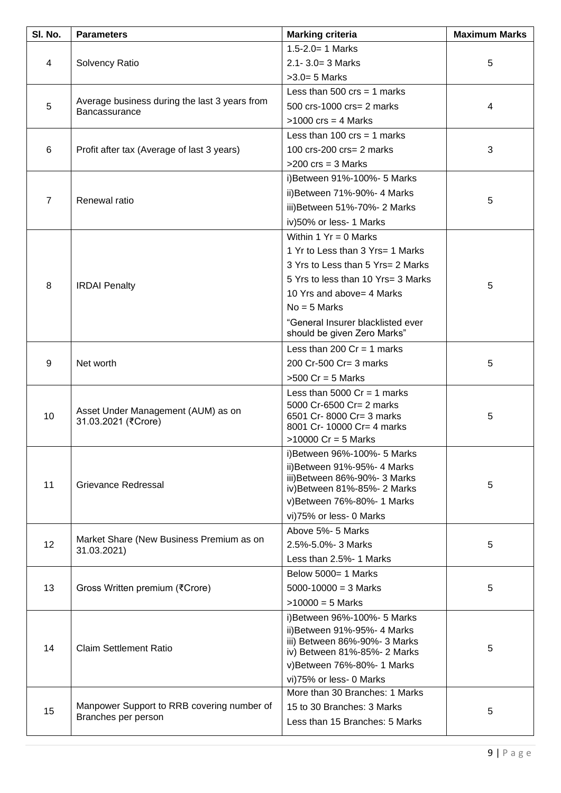| $1.5 - 2.0 = 1$ Marks<br>$2.1 - 3.0 = 3$ Marks<br>5<br>4<br>Solvency Ratio<br>$>3.0=5$ Marks<br>Less than 500 $\text{crs} = 1$ marks<br>Average business during the last 3 years from<br>5<br>500 crs-1000 crs= 2 marks<br>4<br>Bancassurance<br>$>1000$ crs = 4 Marks<br>Less than 100 $\text{crs} = 1$ marks<br>100 crs-200 crs= 2 marks<br>3<br>6<br>Profit after tax (Average of last 3 years)<br>$>200$ crs = 3 Marks<br>i) Between 91%-100%- 5 Marks<br>ii) Between 71%-90%- 4 Marks<br>$\overline{7}$<br>Renewal ratio<br>5<br>iii) Between 51%-70%- 2 Marks<br>iv)50% or less- 1 Marks<br>Within $1 Yr = 0$ Marks | <b>Maximum Marks</b> |
|---------------------------------------------------------------------------------------------------------------------------------------------------------------------------------------------------------------------------------------------------------------------------------------------------------------------------------------------------------------------------------------------------------------------------------------------------------------------------------------------------------------------------------------------------------------------------------------------------------------------------|----------------------|
|                                                                                                                                                                                                                                                                                                                                                                                                                                                                                                                                                                                                                           |                      |
|                                                                                                                                                                                                                                                                                                                                                                                                                                                                                                                                                                                                                           |                      |
|                                                                                                                                                                                                                                                                                                                                                                                                                                                                                                                                                                                                                           |                      |
|                                                                                                                                                                                                                                                                                                                                                                                                                                                                                                                                                                                                                           |                      |
|                                                                                                                                                                                                                                                                                                                                                                                                                                                                                                                                                                                                                           |                      |
|                                                                                                                                                                                                                                                                                                                                                                                                                                                                                                                                                                                                                           |                      |
|                                                                                                                                                                                                                                                                                                                                                                                                                                                                                                                                                                                                                           |                      |
|                                                                                                                                                                                                                                                                                                                                                                                                                                                                                                                                                                                                                           |                      |
|                                                                                                                                                                                                                                                                                                                                                                                                                                                                                                                                                                                                                           |                      |
|                                                                                                                                                                                                                                                                                                                                                                                                                                                                                                                                                                                                                           |                      |
|                                                                                                                                                                                                                                                                                                                                                                                                                                                                                                                                                                                                                           |                      |
|                                                                                                                                                                                                                                                                                                                                                                                                                                                                                                                                                                                                                           |                      |
|                                                                                                                                                                                                                                                                                                                                                                                                                                                                                                                                                                                                                           |                      |
|                                                                                                                                                                                                                                                                                                                                                                                                                                                                                                                                                                                                                           |                      |
| 1 Yr to Less than 3 Yrs= 1 Marks                                                                                                                                                                                                                                                                                                                                                                                                                                                                                                                                                                                          |                      |
| 3 Yrs to Less than 5 Yrs= 2 Marks                                                                                                                                                                                                                                                                                                                                                                                                                                                                                                                                                                                         |                      |
| 5 Yrs to less than 10 Yrs= 3 Marks                                                                                                                                                                                                                                                                                                                                                                                                                                                                                                                                                                                        |                      |
| 8<br>5<br><b>IRDAI</b> Penalty<br>10 Yrs and above= 4 Marks                                                                                                                                                                                                                                                                                                                                                                                                                                                                                                                                                               |                      |
| $No = 5$ Marks                                                                                                                                                                                                                                                                                                                                                                                                                                                                                                                                                                                                            |                      |
| "General Insurer blacklisted ever                                                                                                                                                                                                                                                                                                                                                                                                                                                                                                                                                                                         |                      |
| should be given Zero Marks"                                                                                                                                                                                                                                                                                                                                                                                                                                                                                                                                                                                               |                      |
| Less than 200 $Cr = 1$ marks                                                                                                                                                                                                                                                                                                                                                                                                                                                                                                                                                                                              |                      |
| 9<br>Net worth<br>200 Cr-500 Cr= 3 marks<br>5                                                                                                                                                                                                                                                                                                                                                                                                                                                                                                                                                                             |                      |
| $>500$ Cr = 5 Marks                                                                                                                                                                                                                                                                                                                                                                                                                                                                                                                                                                                                       |                      |
| Less than 5000 $Cr = 1$ marks                                                                                                                                                                                                                                                                                                                                                                                                                                                                                                                                                                                             |                      |
| 5000 Cr-6500 Cr= 2 marks<br>Asset Under Management (AUM) as on                                                                                                                                                                                                                                                                                                                                                                                                                                                                                                                                                            |                      |
| 10<br>6501 Cr-8000 Cr= 3 marks<br>5<br>31.03.2021 (₹Crore)<br>8001 Cr- 10000 Cr= 4 marks                                                                                                                                                                                                                                                                                                                                                                                                                                                                                                                                  |                      |
| $>10000$ Cr = 5 Marks                                                                                                                                                                                                                                                                                                                                                                                                                                                                                                                                                                                                     |                      |
| i) Between 96%-100%- 5 Marks                                                                                                                                                                                                                                                                                                                                                                                                                                                                                                                                                                                              |                      |
| ii) Between 91%-95%- 4 Marks                                                                                                                                                                                                                                                                                                                                                                                                                                                                                                                                                                                              |                      |
| iii) Between 86%-90%- 3 Marks<br>11<br>Grievance Redressal<br>5                                                                                                                                                                                                                                                                                                                                                                                                                                                                                                                                                           |                      |
| iv) Between 81%-85%- 2 Marks                                                                                                                                                                                                                                                                                                                                                                                                                                                                                                                                                                                              |                      |
| v)Between 76%-80%- 1 Marks                                                                                                                                                                                                                                                                                                                                                                                                                                                                                                                                                                                                |                      |
| vi)75% or less- 0 Marks<br>Above 5%- 5 Marks                                                                                                                                                                                                                                                                                                                                                                                                                                                                                                                                                                              |                      |
| Market Share (New Business Premium as on<br>12<br>5<br>2.5%-5.0%-3 Marks                                                                                                                                                                                                                                                                                                                                                                                                                                                                                                                                                  |                      |
| 31.03.2021)<br>Less than 2.5%- 1 Marks                                                                                                                                                                                                                                                                                                                                                                                                                                                                                                                                                                                    |                      |
| Below 5000= 1 Marks                                                                                                                                                                                                                                                                                                                                                                                                                                                                                                                                                                                                       |                      |
| 13<br>$5000 - 10000 = 3$ Marks                                                                                                                                                                                                                                                                                                                                                                                                                                                                                                                                                                                            |                      |
| Gross Written premium (₹Crore)<br>5<br>$>10000 = 5$ Marks                                                                                                                                                                                                                                                                                                                                                                                                                                                                                                                                                                 |                      |
|                                                                                                                                                                                                                                                                                                                                                                                                                                                                                                                                                                                                                           |                      |
| i) Between 96%-100%- 5 Marks<br>ii) Between 91%-95%- 4 Marks                                                                                                                                                                                                                                                                                                                                                                                                                                                                                                                                                              |                      |
| iii) Between 86%-90%- 3 Marks                                                                                                                                                                                                                                                                                                                                                                                                                                                                                                                                                                                             |                      |
| 14<br><b>Claim Settlement Ratio</b><br>5<br>iv) Between 81%-85%- 2 Marks                                                                                                                                                                                                                                                                                                                                                                                                                                                                                                                                                  |                      |
| v)Between 76%-80%- 1 Marks                                                                                                                                                                                                                                                                                                                                                                                                                                                                                                                                                                                                |                      |
| vi)75% or less- 0 Marks                                                                                                                                                                                                                                                                                                                                                                                                                                                                                                                                                                                                   |                      |
| More than 30 Branches: 1 Marks                                                                                                                                                                                                                                                                                                                                                                                                                                                                                                                                                                                            |                      |
| Manpower Support to RRB covering number of<br>15 to 30 Branches: 3 Marks<br>15<br>5<br>Branches per person                                                                                                                                                                                                                                                                                                                                                                                                                                                                                                                |                      |
| Less than 15 Branches: 5 Marks                                                                                                                                                                                                                                                                                                                                                                                                                                                                                                                                                                                            |                      |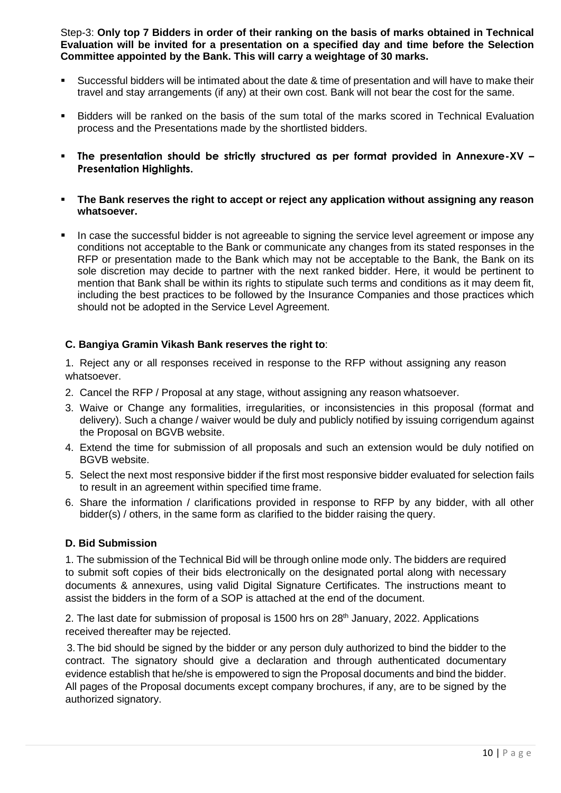Step-3: **Only top 7 Bidders in order of their ranking on the basis of marks obtained in Technical Evaluation will be invited for a presentation on a specified day and time before the Selection Committee appointed by the Bank. This will carry a weightage of 30 marks.**

- Successful bidders will be intimated about the date & time of presentation and will have to make their travel and stay arrangements (if any) at their own cost. Bank will not bear the cost for the same.
- Bidders will be ranked on the basis of the sum total of the marks scored in Technical Evaluation process and the Presentations made by the shortlisted bidders.
- **The presentation should be strictly structured as per format provided in Annexure-XV – Presentation Highlights.**
- **EXTE: The Bank reserves the right to accept or reject any application without assigning any reason whatsoever.**
- In case the successful bidder is not agreeable to signing the service level agreement or impose any conditions not acceptable to the Bank or communicate any changes from its stated responses in the RFP or presentation made to the Bank which may not be acceptable to the Bank, the Bank on its sole discretion may decide to partner with the next ranked bidder. Here, it would be pertinent to mention that Bank shall be within its rights to stipulate such terms and conditions as it may deem fit, including the best practices to be followed by the Insurance Companies and those practices which should not be adopted in the Service Level Agreement.

#### **C. Bangiya Gramin Vikash Bank reserves the right to**:

1. Reject any or all responses received in response to the RFP without assigning any reason whatsoever.

- 2. Cancel the RFP / Proposal at any stage, without assigning any reason whatsoever.
- 3. Waive or Change any formalities, irregularities, or inconsistencies in this proposal (format and delivery). Such a change / waiver would be duly and publicly notified by issuing corrigendum against the Proposal on BGVB website.
- 4. Extend the time for submission of all proposals and such an extension would be duly notified on BGVB website.
- 5. Select the next most responsive bidder if the first most responsive bidder evaluated for selection fails to result in an agreement within specified time frame.
- 6. Share the information / clarifications provided in response to RFP by any bidder, with all other bidder(s) / others, in the same form as clarified to the bidder raising the query.

#### **D. Bid Submission**

1. The submission of the Technical Bid will be through online mode only. The bidders are required to submit soft copies of their bids electronically on the designated portal along with necessary documents & annexures, using valid Digital Signature Certificates. The instructions meant to assist the bidders in the form of a SOP is attached at the end of the document.

2. The last date for submission of proposal is 1500 hrs on 28<sup>th</sup> January, 2022. Applications received thereafter may be rejected.

3.The bid should be signed by the bidder or any person duly authorized to bind the bidder to the contract. The signatory should give a declaration and through authenticated documentary evidence establish that he/she is empowered to sign the Proposal documents and bind the bidder. All pages of the Proposal documents except company brochures, if any, are to be signed by the authorized signatory.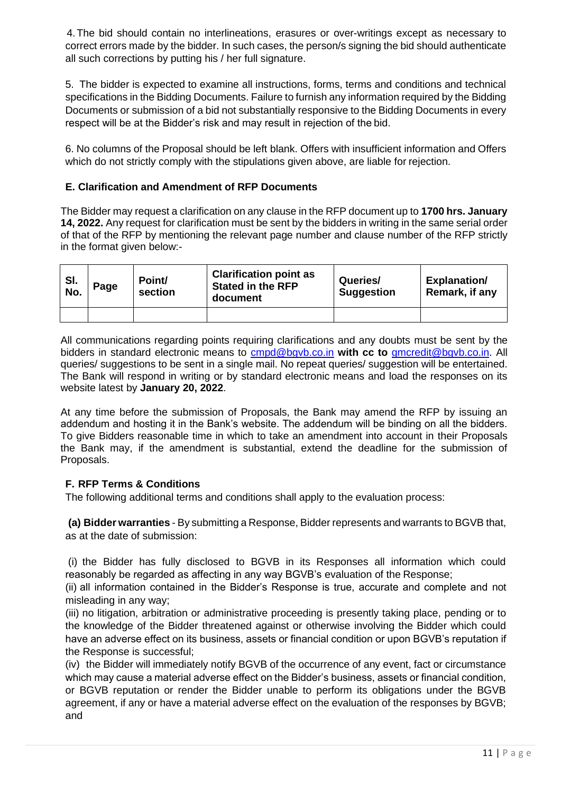4.The bid should contain no interlineations, erasures or over-writings except as necessary to correct errors made by the bidder. In such cases, the person/s signing the bid should authenticate all such corrections by putting his / her full signature.

5. The bidder is expected to examine all instructions, forms, terms and conditions and technical specifications in the Bidding Documents. Failure to furnish any information required by the Bidding Documents or submission of a bid not substantially responsive to the Bidding Documents in every respect will be at the Bidder's risk and may result in rejection of the bid.

6. No columns of the Proposal should be left blank. Offers with insufficient information and Offers which do not strictly comply with the stipulations given above, are liable for rejection.

#### **E. Clarification and Amendment of RFP Documents**

The Bidder may request a clarification on any clause in the RFP document up to **1700 hrs. January 14, 2022.** Any request for clarification must be sent by the bidders in writing in the same serial order of that of the RFP by mentioning the relevant page number and clause number of the RFP strictly in the format given below:-

| SI.<br>No. | Page | Point/<br>section | <b>Clarification point as</b><br><b>Stated in the RFP</b><br>document | Queries/<br><b>Suggestion</b> | <b>Explanation/</b><br>Remark, if any |
|------------|------|-------------------|-----------------------------------------------------------------------|-------------------------------|---------------------------------------|
|            |      |                   |                                                                       |                               |                                       |

All communications regarding points requiring clarifications and any doubts must be sent by the bidders in standard electronic means to [cmpd@bgvb.co.in](mailto:cmpd@bgvb.co.in) **with cc to** [gmcredit@bgvb.co.in.](mailto:gmcredit@bgvb.co.in) All queries/ suggestions to be sent in a single mail. No repeat queries/ suggestion will be entertained. The Bank will respond in writing or by standard electronic means and load the responses on its website latest by **January 20, 2022**.

At any time before the submission of Proposals, the Bank may amend the RFP by issuing an addendum and hosting it in the Bank's website. The addendum will be binding on all the bidders. To give Bidders reasonable time in which to take an amendment into account in their Proposals the Bank may, if the amendment is substantial, extend the deadline for the submission of Proposals.

#### **F. RFP Terms & Conditions**

The following additional terms and conditions shall apply to the evaluation process:

**(a) Bidder warranties** - By submitting a Response, Bidder represents and warrants to BGVB that, as at the date of submission:

(i) the Bidder has fully disclosed to BGVB in its Responses all information which could reasonably be regarded as affecting in any way BGVB's evaluation of the Response;

(ii) all information contained in the Bidder's Response is true, accurate and complete and not misleading in any way;

(iii) no litigation, arbitration or administrative proceeding is presently taking place, pending or to the knowledge of the Bidder threatened against or otherwise involving the Bidder which could have an adverse effect on its business, assets or financial condition or upon BGVB's reputation if the Response is successful;

(iv) the Bidder will immediately notify BGVB of the occurrence of any event, fact or circumstance which may cause a material adverse effect on the Bidder's business, assets or financial condition, or BGVB reputation or render the Bidder unable to perform its obligations under the BGVB agreement, if any or have a material adverse effect on the evaluation of the responses by BGVB; and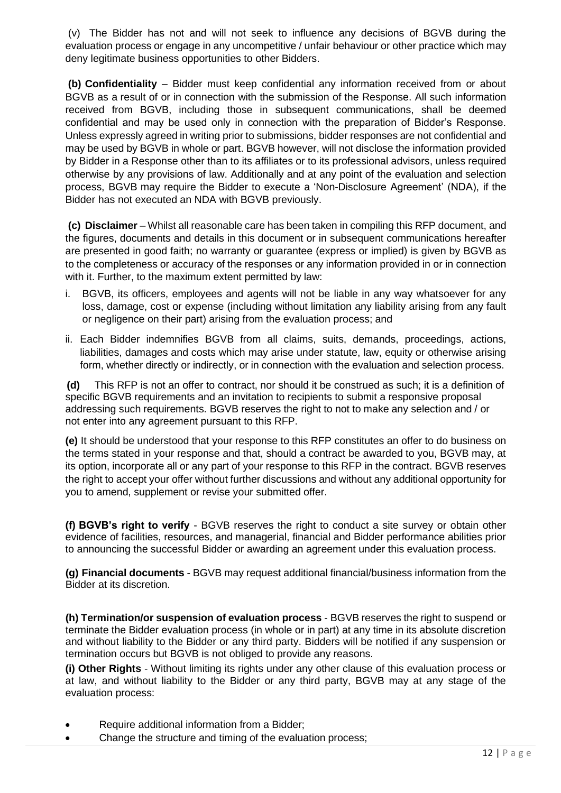(v) The Bidder has not and will not seek to influence any decisions of BGVB during the evaluation process or engage in any uncompetitive / unfair behaviour or other practice which may deny legitimate business opportunities to other Bidders.

**(b) Confidentiality** – Bidder must keep confidential any information received from or about BGVB as a result of or in connection with the submission of the Response. All such information received from BGVB, including those in subsequent communications, shall be deemed confidential and may be used only in connection with the preparation of Bidder's Response. Unless expressly agreed in writing prior to submissions, bidder responses are not confidential and may be used by BGVB in whole or part. BGVB however, will not disclose the information provided by Bidder in a Response other than to its affiliates or to its professional advisors, unless required otherwise by any provisions of law. Additionally and at any point of the evaluation and selection process, BGVB may require the Bidder to execute a 'Non-Disclosure Agreement' (NDA), if the Bidder has not executed an NDA with BGVB previously.

**(c) Disclaimer** – Whilst all reasonable care has been taken in compiling this RFP document, and the figures, documents and details in this document or in subsequent communications hereafter are presented in good faith; no warranty or guarantee (express or implied) is given by BGVB as to the completeness or accuracy of the responses or any information provided in or in connection with it. Further, to the maximum extent permitted by law:

- i. BGVB, its officers, employees and agents will not be liable in any way whatsoever for any loss, damage, cost or expense (including without limitation any liability arising from any fault or negligence on their part) arising from the evaluation process; and
- ii. Each Bidder indemnifies BGVB from all claims, suits, demands, proceedings, actions, liabilities, damages and costs which may arise under statute, law, equity or otherwise arising form, whether directly or indirectly, or in connection with the evaluation and selection process.

**(d)** This RFP is not an offer to contract, nor should it be construed as such; it is a definition of specific BGVB requirements and an invitation to recipients to submit a responsive proposal addressing such requirements. BGVB reserves the right to not to make any selection and / or not enter into any agreement pursuant to this RFP.

**(e)** It should be understood that your response to this RFP constitutes an offer to do business on the terms stated in your response and that, should a contract be awarded to you, BGVB may, at its option, incorporate all or any part of your response to this RFP in the contract. BGVB reserves the right to accept your offer without further discussions and without any additional opportunity for you to amend, supplement or revise your submitted offer.

**(f) BGVB's right to verify** - BGVB reserves the right to conduct a site survey or obtain other evidence of facilities, resources, and managerial, financial and Bidder performance abilities prior to announcing the successful Bidder or awarding an agreement under this evaluation process.

**(g) Financial documents** - BGVB may request additional financial/business information from the Bidder at its discretion.

**(h) Termination/or suspension of evaluation process** - BGVB reserves the right to suspend or terminate the Bidder evaluation process (in whole or in part) at any time in its absolute discretion and without liability to the Bidder or any third party. Bidders will be notified if any suspension or termination occurs but BGVB is not obliged to provide any reasons.

**(i) Other Rights** - Without limiting its rights under any other clause of this evaluation process or at law, and without liability to the Bidder or any third party, BGVB may at any stage of the evaluation process:

- Require additional information from a Bidder;
- Change the structure and timing of the evaluation process: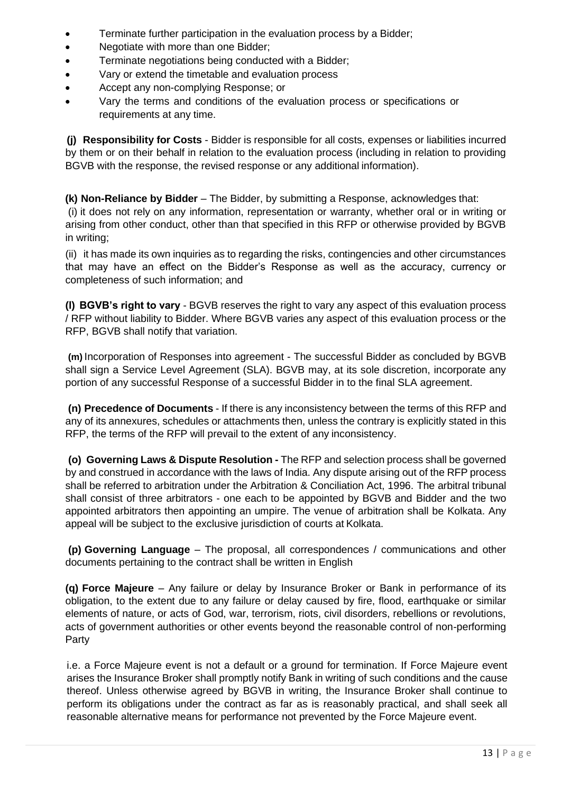- Terminate further participation in the evaluation process by a Bidder;
- Negotiate with more than one Bidder;
- Terminate negotiations being conducted with a Bidder;
- Vary or extend the timetable and evaluation process
- Accept any non-complying Response; or
- Vary the terms and conditions of the evaluation process or specifications or requirements at any time.

**(j) Responsibility for Costs** - Bidder is responsible for all costs, expenses or liabilities incurred by them or on their behalf in relation to the evaluation process (including in relation to providing BGVB with the response, the revised response or any additional information).

**(k) Non-Reliance by Bidder** – The Bidder, by submitting a Response, acknowledges that: (i) it does not rely on any information, representation or warranty, whether oral or in writing or arising from other conduct, other than that specified in this RFP or otherwise provided by BGVB in writing;

(ii) it has made its own inquiries as to regarding the risks, contingencies and other circumstances that may have an effect on the Bidder's Response as well as the accuracy, currency or completeness of such information; and

**(l) BGVB's right to vary** - BGVB reserves the right to vary any aspect of this evaluation process / RFP without liability to Bidder. Where BGVB varies any aspect of this evaluation process or the RFP, BGVB shall notify that variation.

**(m)** Incorporation of Responses into agreement - The successful Bidder as concluded by BGVB shall sign a Service Level Agreement (SLA). BGVB may, at its sole discretion, incorporate any portion of any successful Response of a successful Bidder in to the final SLA agreement.

**(n) Precedence of Documents** - If there is any inconsistency between the terms of this RFP and any of its annexures, schedules or attachments then, unless the contrary is explicitly stated in this RFP, the terms of the RFP will prevail to the extent of any inconsistency.

**(o) Governing Laws & Dispute Resolution -** The RFP and selection process shall be governed by and construed in accordance with the laws of India. Any dispute arising out of the RFP process shall be referred to arbitration under the Arbitration & Conciliation Act, 1996. The arbitral tribunal shall consist of three arbitrators - one each to be appointed by BGVB and Bidder and the two appointed arbitrators then appointing an umpire. The venue of arbitration shall be Kolkata. Any appeal will be subject to the exclusive jurisdiction of courts at Kolkata.

**(p) Governing Language** – The proposal, all correspondences / communications and other documents pertaining to the contract shall be written in English

**(q) Force Majeure** – Any failure or delay by Insurance Broker or Bank in performance of its obligation, to the extent due to any failure or delay caused by fire, flood, earthquake or similar elements of nature, or acts of God, war, terrorism, riots, civil disorders, rebellions or revolutions, acts of government authorities or other events beyond the reasonable control of non-performing Party

i.e. a Force Majeure event is not a default or a ground for termination. If Force Majeure event arises the Insurance Broker shall promptly notify Bank in writing of such conditions and the cause thereof. Unless otherwise agreed by BGVB in writing, the Insurance Broker shall continue to perform its obligations under the contract as far as is reasonably practical, and shall seek all reasonable alternative means for performance not prevented by the Force Majeure event.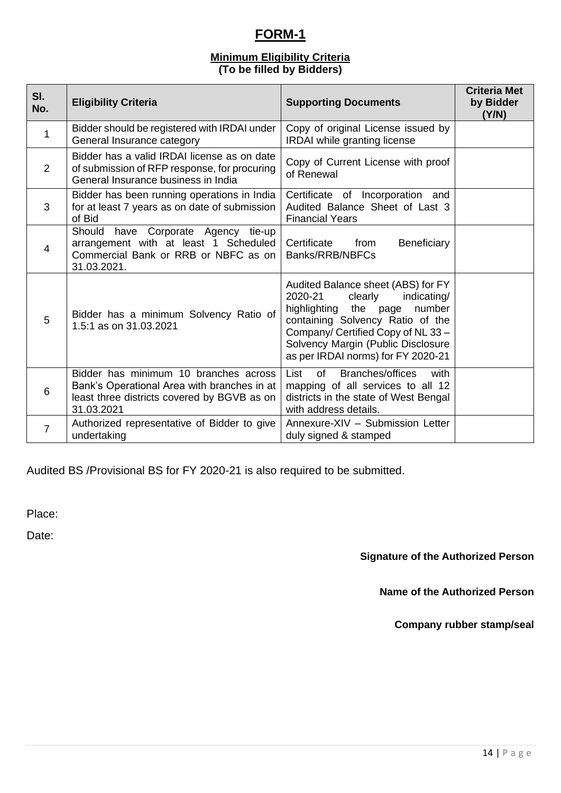# **FORM-1**

### **Minimum Eligibility Criteria (To be filled by Bidders)**

| SI.<br>No.     | <b>Eligibility Criteria</b>                                                                                                                       | <b>Supporting Documents</b>                                                                                                                                                                                                                                      | <b>Criteria Met</b><br>by Bidder<br>(Y/N) |
|----------------|---------------------------------------------------------------------------------------------------------------------------------------------------|------------------------------------------------------------------------------------------------------------------------------------------------------------------------------------------------------------------------------------------------------------------|-------------------------------------------|
| $\mathbf{1}$   | Bidder should be registered with IRDAI under<br>General Insurance category                                                                        | Copy of original License issued by<br><b>IRDAI</b> while granting license                                                                                                                                                                                        |                                           |
| 2              | Bidder has a valid IRDAI license as on date<br>of submission of RFP response, for procuring<br>General Insurance business in India                | Copy of Current License with proof<br>of Renewal                                                                                                                                                                                                                 |                                           |
| 3              | Bidder has been running operations in India<br>for at least 7 years as on date of submission<br>of Bid                                            | Certificate of Incorporation and<br>Audited Balance Sheet of Last 3<br><b>Financial Years</b>                                                                                                                                                                    |                                           |
| 4              | Should have Corporate Agency tie-up<br>arrangement with at least 1 Scheduled<br>Commercial Bank or RRB or NBFC as on<br>31.03.2021.               | Certificate<br>Beneficiary<br>from<br>Banks/RRB/NBFCs                                                                                                                                                                                                            |                                           |
| 5              | Bidder has a minimum Solvency Ratio of<br>1.5:1 as on 31.03.2021                                                                                  | Audited Balance sheet (ABS) for FY<br>2020-21<br>clearly<br>indicating/<br>highlighting the page<br>number<br>containing Solvency Ratio of the<br>Company/ Certified Copy of NL 33 -<br>Solvency Margin (Public Disclosure<br>as per IRDAI norms) for FY 2020-21 |                                           |
| 6              | Bidder has minimum 10 branches across<br>Bank's Operational Area with branches in at<br>least three districts covered by BGVB as on<br>31.03.2021 | <b>Branches/offices</b><br>List<br>of<br>with<br>mapping of all services to all 12<br>districts in the state of West Bengal<br>with address details.                                                                                                             |                                           |
| $\overline{7}$ | Authorized representative of Bidder to give<br>undertaking                                                                                        | Annexure-XIV - Submission Letter<br>duly signed & stamped                                                                                                                                                                                                        |                                           |

Audited BS /Provisional BS for FY 2020-21 is also required to be submitted.

Place:

Date:

**Signature of the Authorized Person** 

**Name of the Authorized Person** 

**Company rubber stamp/seal**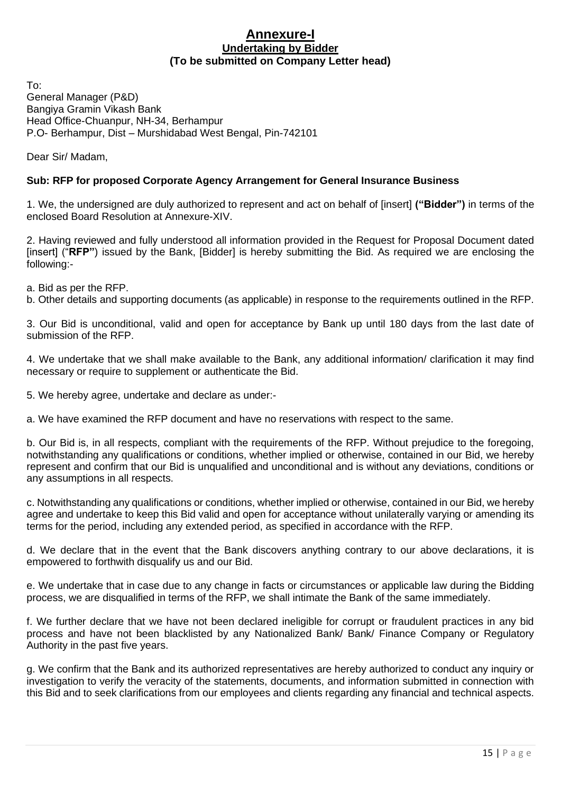#### **Annexure-I Undertaking by Bidder (To be submitted on Company Letter head)**

To: General Manager (P&D) Bangiya Gramin Vikash Bank Head Office-Chuanpur, NH-34, Berhampur P.O- Berhampur, Dist – Murshidabad West Bengal, Pin-742101

Dear Sir/ Madam,

#### **Sub: RFP for proposed Corporate Agency Arrangement for General Insurance Business**

1. We, the undersigned are duly authorized to represent and act on behalf of [insert] **("Bidder")** in terms of the enclosed Board Resolution at Annexure-XIV.

2. Having reviewed and fully understood all information provided in the Request for Proposal Document dated [insert] ("RFP") issued by the Bank, [Bidder] is hereby submitting the Bid. As required we are enclosing the following:-

a. Bid as per the RFP.

b. Other details and supporting documents (as applicable) in response to the requirements outlined in the RFP.

3. Our Bid is unconditional, valid and open for acceptance by Bank up until 180 days from the last date of submission of the RFP.

4. We undertake that we shall make available to the Bank, any additional information/ clarification it may find necessary or require to supplement or authenticate the Bid.

5. We hereby agree, undertake and declare as under:-

a. We have examined the RFP document and have no reservations with respect to the same.

b. Our Bid is, in all respects, compliant with the requirements of the RFP. Without prejudice to the foregoing, notwithstanding any qualifications or conditions, whether implied or otherwise, contained in our Bid, we hereby represent and confirm that our Bid is unqualified and unconditional and is without any deviations, conditions or any assumptions in all respects.

c. Notwithstanding any qualifications or conditions, whether implied or otherwise, contained in our Bid, we hereby agree and undertake to keep this Bid valid and open for acceptance without unilaterally varying or amending its terms for the period, including any extended period, as specified in accordance with the RFP.

d. We declare that in the event that the Bank discovers anything contrary to our above declarations, it is empowered to forthwith disqualify us and our Bid.

e. We undertake that in case due to any change in facts or circumstances or applicable law during the Bidding process, we are disqualified in terms of the RFP, we shall intimate the Bank of the same immediately.

f. We further declare that we have not been declared ineligible for corrupt or fraudulent practices in any bid process and have not been blacklisted by any Nationalized Bank/ Bank/ Finance Company or Regulatory Authority in the past five years.

g. We confirm that the Bank and its authorized representatives are hereby authorized to conduct any inquiry or investigation to verify the veracity of the statements, documents, and information submitted in connection with this Bid and to seek clarifications from our employees and clients regarding any financial and technical aspects.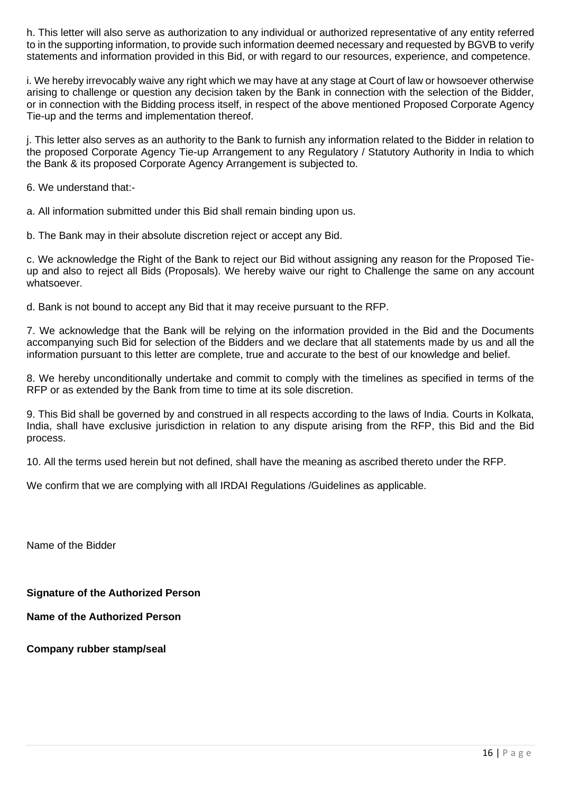h. This letter will also serve as authorization to any individual or authorized representative of any entity referred to in the supporting information, to provide such information deemed necessary and requested by BGVB to verify statements and information provided in this Bid, or with regard to our resources, experience, and competence.

i. We hereby irrevocably waive any right which we may have at any stage at Court of law or howsoever otherwise arising to challenge or question any decision taken by the Bank in connection with the selection of the Bidder, or in connection with the Bidding process itself, in respect of the above mentioned Proposed Corporate Agency Tie-up and the terms and implementation thereof.

j. This letter also serves as an authority to the Bank to furnish any information related to the Bidder in relation to the proposed Corporate Agency Tie-up Arrangement to any Regulatory / Statutory Authority in India to which the Bank & its proposed Corporate Agency Arrangement is subjected to.

6. We understand that:-

a. All information submitted under this Bid shall remain binding upon us.

b. The Bank may in their absolute discretion reject or accept any Bid.

c. We acknowledge the Right of the Bank to reject our Bid without assigning any reason for the Proposed Tieup and also to reject all Bids (Proposals). We hereby waive our right to Challenge the same on any account whatsoever.

d. Bank is not bound to accept any Bid that it may receive pursuant to the RFP.

7. We acknowledge that the Bank will be relying on the information provided in the Bid and the Documents accompanying such Bid for selection of the Bidders and we declare that all statements made by us and all the information pursuant to this letter are complete, true and accurate to the best of our knowledge and belief.

8. We hereby unconditionally undertake and commit to comply with the timelines as specified in terms of the RFP or as extended by the Bank from time to time at its sole discretion.

9. This Bid shall be governed by and construed in all respects according to the laws of India. Courts in Kolkata, India, shall have exclusive jurisdiction in relation to any dispute arising from the RFP, this Bid and the Bid process.

10. All the terms used herein but not defined, shall have the meaning as ascribed thereto under the RFP.

We confirm that we are complying with all IRDAI Regulations /Guidelines as applicable.

Name of the Bidder

**Signature of the Authorized Person** 

**Name of the Authorized Person** 

**Company rubber stamp/seal**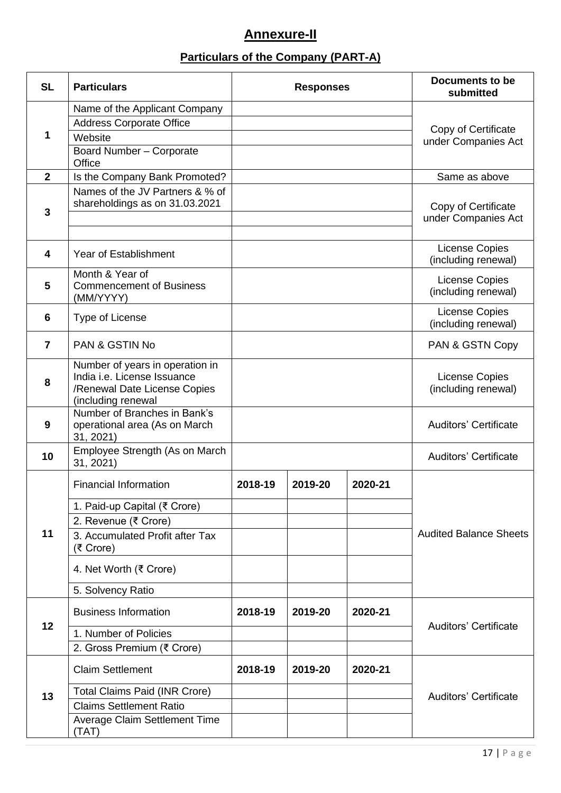# **Annexure-II**

# **Particulars of the Company (PART-A)**

| <b>SL</b>      | <b>Particulars</b>                                          | <b>Responses</b> |         | <b>Documents to be</b><br>submitted |                                       |
|----------------|-------------------------------------------------------------|------------------|---------|-------------------------------------|---------------------------------------|
|                | Name of the Applicant Company                               |                  |         |                                     |                                       |
|                | <b>Address Corporate Office</b>                             |                  |         |                                     | Copy of Certificate                   |
| 1              | Website                                                     |                  |         |                                     | under Companies Act                   |
|                | Board Number - Corporate<br>Office                          |                  |         |                                     |                                       |
| $\overline{2}$ | Is the Company Bank Promoted?                               |                  |         |                                     | Same as above                         |
|                | Names of the JV Partners & % of                             |                  |         |                                     |                                       |
| 3              | shareholdings as on 31.03.2021                              |                  |         |                                     | Copy of Certificate                   |
|                |                                                             |                  |         |                                     | under Companies Act                   |
|                |                                                             |                  |         |                                     |                                       |
| 4              | <b>Year of Establishment</b>                                |                  |         |                                     | License Copies<br>(including renewal) |
|                | Month & Year of                                             |                  |         |                                     | License Copies                        |
| 5              | <b>Commencement of Business</b><br>(MM/YYYY)                |                  |         |                                     | (including renewal)                   |
| 6              | Type of License                                             |                  |         |                                     | License Copies                        |
|                |                                                             |                  |         |                                     | (including renewal)                   |
| $\overline{7}$ | <b>PAN &amp; GSTIN No</b>                                   |                  |         |                                     | PAN & GSTN Copy                       |
|                | Number of years in operation in                             |                  |         |                                     |                                       |
| 8              | India i.e. License Issuance<br>/Renewal Date License Copies |                  |         |                                     | License Copies<br>(including renewal) |
|                | (including renewal                                          |                  |         |                                     |                                       |
|                | Number of Branches in Bank's                                |                  |         |                                     |                                       |
| 9              | operational area (As on March<br>31, 2021)                  |                  |         |                                     | <b>Auditors' Certificate</b>          |
|                | Employee Strength (As on March                              |                  |         |                                     |                                       |
| 10             | 31, 2021)                                                   |                  |         |                                     | <b>Auditors' Certificate</b>          |
|                | <b>Financial Information</b>                                | 2018-19          | 2019-20 | 2020-21                             |                                       |
|                | 1. Paid-up Capital (₹ Crore)                                |                  |         |                                     |                                       |
|                | 2. Revenue (₹ Crore)                                        |                  |         |                                     |                                       |
| 11             | 3. Accumulated Profit after Tax                             |                  |         |                                     | <b>Audited Balance Sheets</b>         |
|                | (₹ Crore)                                                   |                  |         |                                     |                                       |
|                | 4. Net Worth (₹ Crore)                                      |                  |         |                                     |                                       |
|                | 5. Solvency Ratio                                           |                  |         |                                     |                                       |
|                | <b>Business Information</b>                                 | 2018-19          | 2019-20 | 2020-21                             |                                       |
| 12             | 1. Number of Policies                                       |                  |         |                                     | <b>Auditors' Certificate</b>          |
|                | 2. Gross Premium (₹ Crore)                                  |                  |         |                                     |                                       |
|                |                                                             |                  |         |                                     |                                       |
|                | <b>Claim Settlement</b>                                     | 2018-19          | 2019-20 | 2020-21                             |                                       |
| 13             | <b>Total Claims Paid (INR Crore)</b>                        |                  |         |                                     | <b>Auditors' Certificate</b>          |
|                | <b>Claims Settlement Ratio</b>                              |                  |         |                                     |                                       |
|                | <b>Average Claim Settlement Time</b>                        |                  |         |                                     |                                       |
|                | (TAT)                                                       |                  |         |                                     |                                       |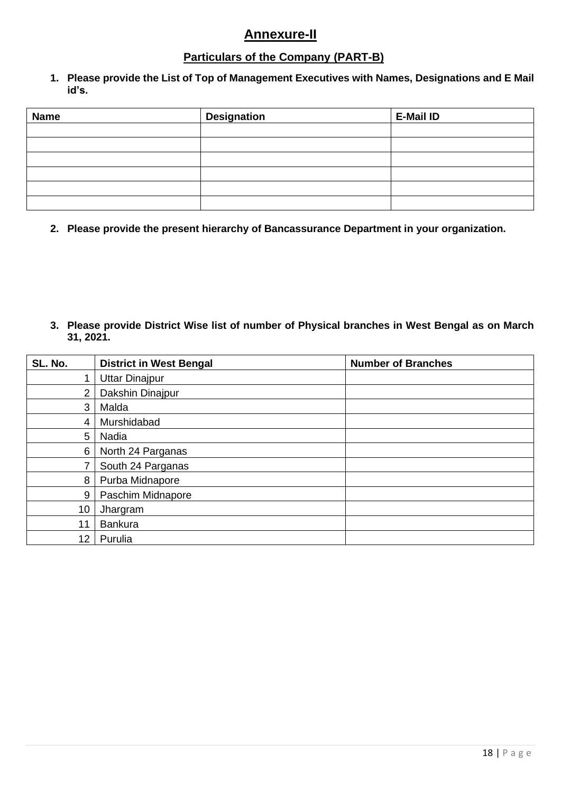## **Annexure-II**

## **Particulars of the Company (PART-B)**

**1. Please provide the List of Top of Management Executives with Names, Designations and E Mail id's.**

| <b>Name</b> | <b>Designation</b> | <b>E-Mail ID</b> |
|-------------|--------------------|------------------|
|             |                    |                  |
|             |                    |                  |
|             |                    |                  |
|             |                    |                  |
|             |                    |                  |
|             |                    |                  |

**2. Please provide the present hierarchy of Bancassurance Department in your organization.**

**3. Please provide District Wise list of number of Physical branches in West Bengal as on March 31, 2021.**

| SL. No.         | <b>District in West Bengal</b> | <b>Number of Branches</b> |
|-----------------|--------------------------------|---------------------------|
|                 | <b>Uttar Dinajpur</b>          |                           |
| 2               | Dakshin Dinajpur               |                           |
| 3               | Malda                          |                           |
| 4               | Murshidabad                    |                           |
| 5               | Nadia                          |                           |
| 6               | North 24 Parganas              |                           |
|                 | South 24 Parganas              |                           |
| 8               | Purba Midnapore                |                           |
| 9               | Paschim Midnapore              |                           |
| 10              | Jhargram                       |                           |
| 11              | <b>Bankura</b>                 |                           |
| 12 <sub>2</sub> | Purulia                        |                           |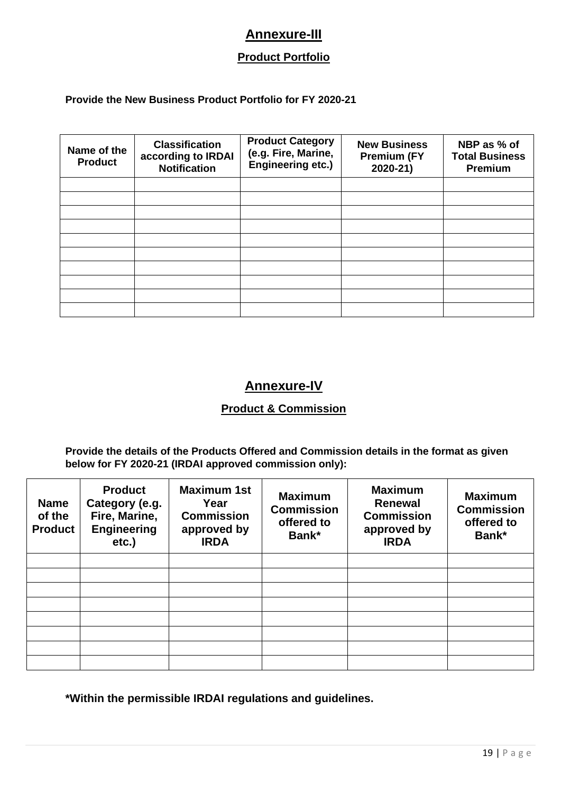## **Annexure-III**

## **Product Portfolio**

#### **Provide the New Business Product Portfolio for FY 2020-21**

| Name of the<br><b>Product</b> | <b>Classification</b><br>according to IRDAI<br><b>Notification</b> | <b>Product Category</b><br>(e.g. Fire, Marine,<br>Engineering etc.) | <b>New Business</b><br><b>Premium (FY</b><br>2020-21) | NBP as % of<br><b>Total Business</b><br><b>Premium</b> |
|-------------------------------|--------------------------------------------------------------------|---------------------------------------------------------------------|-------------------------------------------------------|--------------------------------------------------------|
|                               |                                                                    |                                                                     |                                                       |                                                        |
|                               |                                                                    |                                                                     |                                                       |                                                        |
|                               |                                                                    |                                                                     |                                                       |                                                        |
|                               |                                                                    |                                                                     |                                                       |                                                        |
|                               |                                                                    |                                                                     |                                                       |                                                        |
|                               |                                                                    |                                                                     |                                                       |                                                        |
|                               |                                                                    |                                                                     |                                                       |                                                        |
|                               |                                                                    |                                                                     |                                                       |                                                        |
|                               |                                                                    |                                                                     |                                                       |                                                        |
|                               |                                                                    |                                                                     |                                                       |                                                        |

## **Annexure-IV**

### **Product & Commission**

**Provide the details of the Products Offered and Commission details in the format as given below for FY 2020-21 (IRDAI approved commission only):**

| <b>Name</b><br>of the<br><b>Product</b> | <b>Product</b><br>Category (e.g.<br>Fire, Marine,<br><b>Engineering</b><br>etc.) | <b>Maximum 1st</b><br>Year<br><b>Commission</b><br>approved by<br><b>IRDA</b> | <b>Maximum</b><br><b>Commission</b><br>offered to<br>Bank* | <b>Maximum</b><br><b>Renewal</b><br><b>Commission</b><br>approved by<br><b>IRDA</b> | <b>Maximum</b><br><b>Commission</b><br>offered to<br>Bank* |
|-----------------------------------------|----------------------------------------------------------------------------------|-------------------------------------------------------------------------------|------------------------------------------------------------|-------------------------------------------------------------------------------------|------------------------------------------------------------|
|                                         |                                                                                  |                                                                               |                                                            |                                                                                     |                                                            |
|                                         |                                                                                  |                                                                               |                                                            |                                                                                     |                                                            |
|                                         |                                                                                  |                                                                               |                                                            |                                                                                     |                                                            |
|                                         |                                                                                  |                                                                               |                                                            |                                                                                     |                                                            |
|                                         |                                                                                  |                                                                               |                                                            |                                                                                     |                                                            |
|                                         |                                                                                  |                                                                               |                                                            |                                                                                     |                                                            |
|                                         |                                                                                  |                                                                               |                                                            |                                                                                     |                                                            |
|                                         |                                                                                  |                                                                               |                                                            |                                                                                     |                                                            |

**\*Within the permissible IRDAI regulations and guidelines.**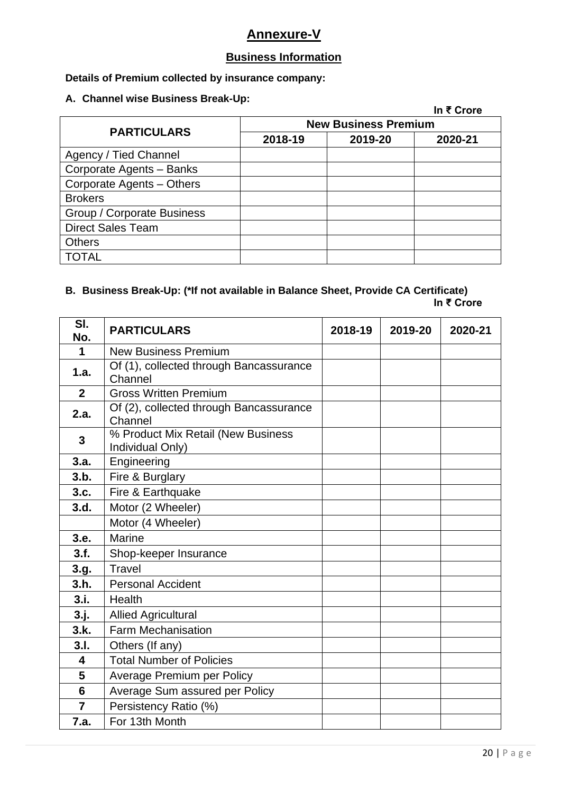## **Annexure-V**

## **Business Information**

#### **Details of Premium collected by insurance company:**

#### **A. Channel wise Business Break-Up:**

|                             |         | In ₹ Crore |  |  |
|-----------------------------|---------|------------|--|--|
| <b>New Business Premium</b> |         |            |  |  |
| 2018-19                     | 2019-20 | 2020-21    |  |  |
|                             |         |            |  |  |
|                             |         |            |  |  |
|                             |         |            |  |  |
|                             |         |            |  |  |
|                             |         |            |  |  |
|                             |         |            |  |  |
|                             |         |            |  |  |
|                             |         |            |  |  |
|                             |         |            |  |  |

# **B. Business Break-Up: (\*If not available in Balance Sheet, Provide CA Certificate)**

| In ₹ Crore |  |  |
|------------|--|--|
|------------|--|--|

| SI.<br>No.     | <b>PARTICULARS</b>                                     | 2018-19 | 2019-20 | 2020-21 |
|----------------|--------------------------------------------------------|---------|---------|---------|
| 1              | <b>New Business Premium</b>                            |         |         |         |
| 1.a.           | Of (1), collected through Bancassurance<br>Channel     |         |         |         |
| $\overline{2}$ | <b>Gross Written Premium</b>                           |         |         |         |
| 2.a.           | Of (2), collected through Bancassurance<br>Channel     |         |         |         |
| $\mathbf{3}$   | % Product Mix Retail (New Business<br>Individual Only) |         |         |         |
| 3.a.           | Engineering                                            |         |         |         |
| 3.b.           | Fire & Burglary                                        |         |         |         |
| 3.c.           | Fire & Earthquake                                      |         |         |         |
| 3.d.           | Motor (2 Wheeler)                                      |         |         |         |
|                | Motor (4 Wheeler)                                      |         |         |         |
| 3.e.           | Marine                                                 |         |         |         |
| 3.f.           | Shop-keeper Insurance                                  |         |         |         |
| 3.g.           | <b>Travel</b>                                          |         |         |         |
| 3.h.           | <b>Personal Accident</b>                               |         |         |         |
| 3.i.           | Health                                                 |         |         |         |
| 3. j.          | <b>Allied Agricultural</b>                             |         |         |         |
| 3.k.           | <b>Farm Mechanisation</b>                              |         |         |         |
| 3.1.           | Others (If any)                                        |         |         |         |
| 4              | <b>Total Number of Policies</b>                        |         |         |         |
| 5              | Average Premium per Policy                             |         |         |         |
| 6              | Average Sum assured per Policy                         |         |         |         |
| $\overline{7}$ | Persistency Ratio (%)                                  |         |         |         |
| 7.a.           | For 13th Month                                         |         |         |         |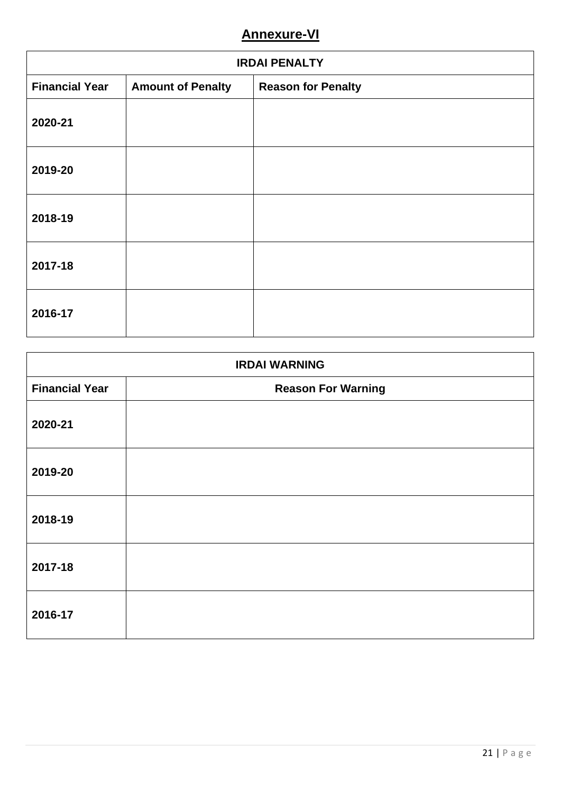# **Annexure-VI**

| <b>IRDAI PENALTY</b>  |                          |                           |  |
|-----------------------|--------------------------|---------------------------|--|
| <b>Financial Year</b> | <b>Amount of Penalty</b> | <b>Reason for Penalty</b> |  |
| 2020-21               |                          |                           |  |
| 2019-20               |                          |                           |  |
| 2018-19               |                          |                           |  |
| 2017-18               |                          |                           |  |
| 2016-17               |                          |                           |  |

| <b>IRDAI WARNING</b>  |                           |  |  |
|-----------------------|---------------------------|--|--|
| <b>Financial Year</b> | <b>Reason For Warning</b> |  |  |
| 2020-21               |                           |  |  |
| 2019-20               |                           |  |  |
| 2018-19               |                           |  |  |
| 2017-18               |                           |  |  |
| 2016-17               |                           |  |  |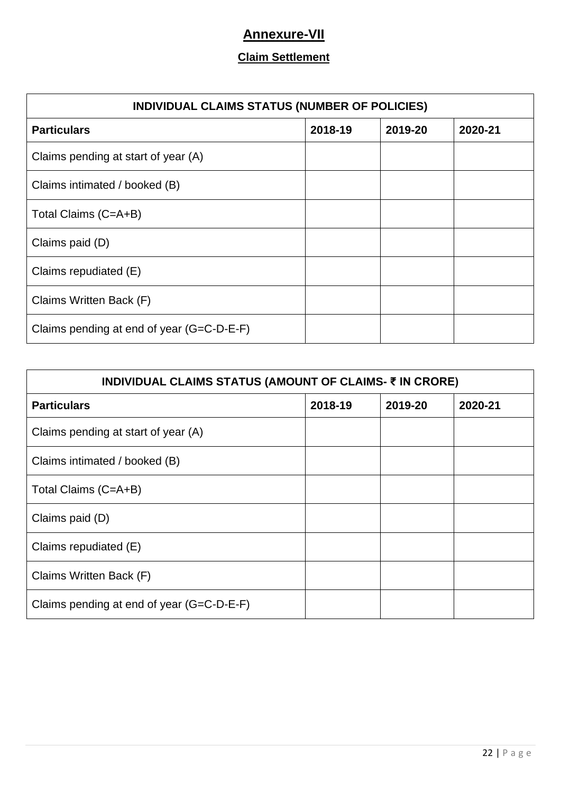# **Annexure-VII**

## **Claim Settlement**

| INDIVIDUAL CLAIMS STATUS (NUMBER OF POLICIES) |         |         |         |  |
|-----------------------------------------------|---------|---------|---------|--|
| <b>Particulars</b>                            | 2018-19 | 2019-20 | 2020-21 |  |
| Claims pending at start of year (A)           |         |         |         |  |
| Claims intimated / booked (B)                 |         |         |         |  |
| Total Claims (C=A+B)                          |         |         |         |  |
| Claims paid (D)                               |         |         |         |  |
| Claims repudiated (E)                         |         |         |         |  |
| Claims Written Back (F)                       |         |         |         |  |
| Claims pending at end of year (G=C-D-E-F)     |         |         |         |  |

| INDIVIDUAL CLAIMS STATUS (AMOUNT OF CLAIMS- ₹ IN CRORE) |         |         |         |  |  |
|---------------------------------------------------------|---------|---------|---------|--|--|
| <b>Particulars</b>                                      | 2018-19 | 2019-20 | 2020-21 |  |  |
| Claims pending at start of year (A)                     |         |         |         |  |  |
| Claims intimated / booked (B)                           |         |         |         |  |  |
| Total Claims (C=A+B)                                    |         |         |         |  |  |
| Claims paid (D)                                         |         |         |         |  |  |
| Claims repudiated (E)                                   |         |         |         |  |  |
| Claims Written Back (F)                                 |         |         |         |  |  |
| Claims pending at end of year (G=C-D-E-F)               |         |         |         |  |  |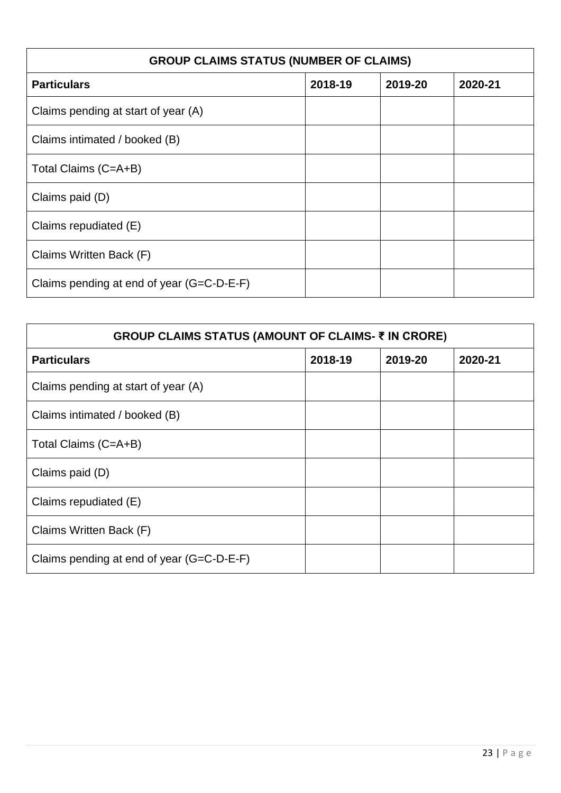| <b>GROUP CLAIMS STATUS (NUMBER OF CLAIMS)</b> |         |         |         |  |
|-----------------------------------------------|---------|---------|---------|--|
| <b>Particulars</b>                            | 2018-19 | 2019-20 | 2020-21 |  |
| Claims pending at start of year (A)           |         |         |         |  |
| Claims intimated / booked (B)                 |         |         |         |  |
| Total Claims (C=A+B)                          |         |         |         |  |
| Claims paid (D)                               |         |         |         |  |
| Claims repudiated (E)                         |         |         |         |  |
| Claims Written Back (F)                       |         |         |         |  |
| Claims pending at end of year (G=C-D-E-F)     |         |         |         |  |

| GROUP CLAIMS STATUS (AMOUNT OF CLAIMS- ₹ IN CRORE) |         |         |         |  |  |
|----------------------------------------------------|---------|---------|---------|--|--|
| <b>Particulars</b>                                 | 2018-19 | 2019-20 | 2020-21 |  |  |
| Claims pending at start of year (A)                |         |         |         |  |  |
| Claims intimated / booked (B)                      |         |         |         |  |  |
| Total Claims (C=A+B)                               |         |         |         |  |  |
| Claims paid (D)                                    |         |         |         |  |  |
| Claims repudiated (E)                              |         |         |         |  |  |
| Claims Written Back (F)                            |         |         |         |  |  |
| Claims pending at end of year (G=C-D-E-F)          |         |         |         |  |  |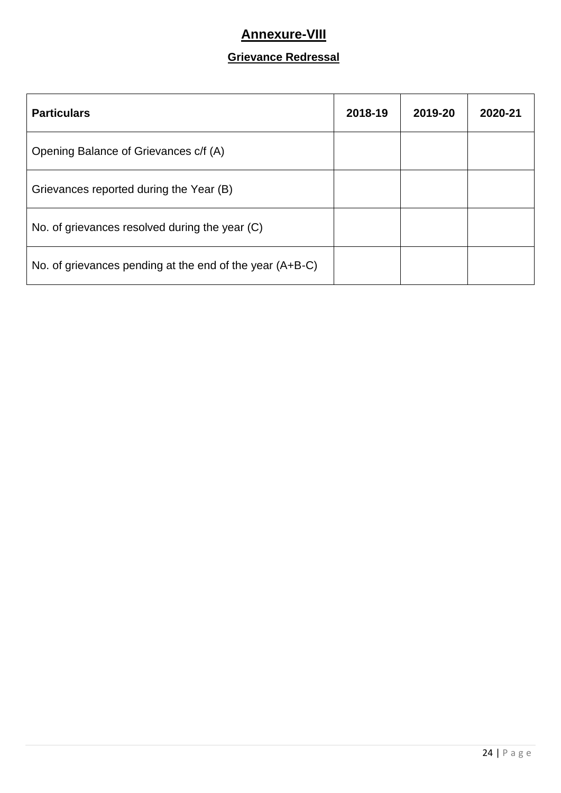## **Annexure-VIII**

## **Grievance Redressal**

| <b>Particulars</b>                                       | 2018-19 | 2019-20 | 2020-21 |
|----------------------------------------------------------|---------|---------|---------|
| Opening Balance of Grievances c/f (A)                    |         |         |         |
| Grievances reported during the Year (B)                  |         |         |         |
| No. of grievances resolved during the year (C)           |         |         |         |
| No. of grievances pending at the end of the year (A+B-C) |         |         |         |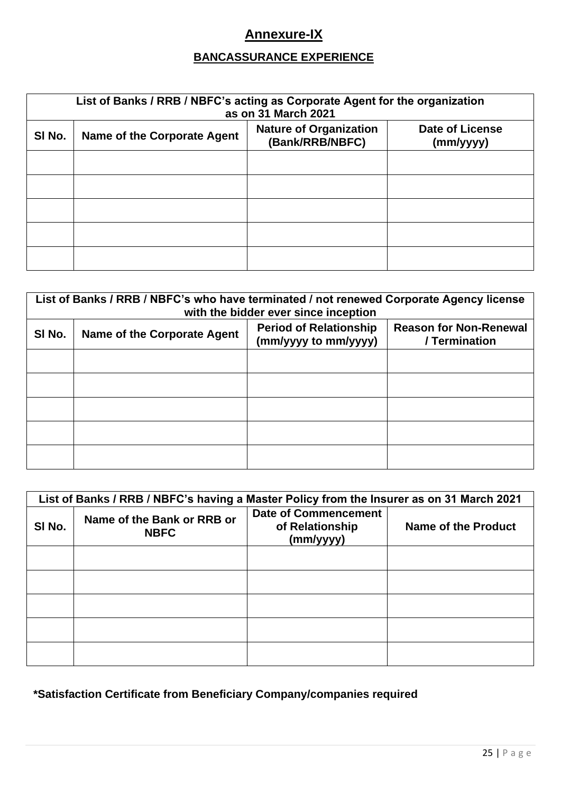# **Annexure-IX**

## **BANCASSURANCE EXPERIENCE**

| List of Banks / RRB / NBFC's acting as Corporate Agent for the organization<br>as on 31 March 2021 |                                                                                                                        |  |  |  |
|----------------------------------------------------------------------------------------------------|------------------------------------------------------------------------------------------------------------------------|--|--|--|
| SI No.                                                                                             | <b>Date of License</b><br><b>Nature of Organization</b><br>Name of the Corporate Agent<br>(Bank/RRB/NBFC)<br>(mm/yyyy) |  |  |  |
|                                                                                                    |                                                                                                                        |  |  |  |
|                                                                                                    |                                                                                                                        |  |  |  |
|                                                                                                    |                                                                                                                        |  |  |  |
|                                                                                                    |                                                                                                                        |  |  |  |
|                                                                                                    |                                                                                                                        |  |  |  |

| List of Banks / RRB / NBFC's who have terminated / not renewed Corporate Agency license<br>with the bidder ever since inception |                             |                                                       |                                                |
|---------------------------------------------------------------------------------------------------------------------------------|-----------------------------|-------------------------------------------------------|------------------------------------------------|
| SI No.                                                                                                                          | Name of the Corporate Agent | <b>Period of Relationship</b><br>(mm/yyyy to mm/yyyy) | <b>Reason for Non-Renewal</b><br>/ Termination |
|                                                                                                                                 |                             |                                                       |                                                |
|                                                                                                                                 |                             |                                                       |                                                |
|                                                                                                                                 |                             |                                                       |                                                |
|                                                                                                                                 |                             |                                                       |                                                |
|                                                                                                                                 |                             |                                                       |                                                |

| List of Banks / RRB / NBFC's having a Master Policy from the Insurer as on 31 March 2021 |                                           |                                                             |                     |
|------------------------------------------------------------------------------------------|-------------------------------------------|-------------------------------------------------------------|---------------------|
| SI No.                                                                                   | Name of the Bank or RRB or<br><b>NBFC</b> | <b>Date of Commencement</b><br>of Relationship<br>(mm/yyyy) | Name of the Product |
|                                                                                          |                                           |                                                             |                     |
|                                                                                          |                                           |                                                             |                     |
|                                                                                          |                                           |                                                             |                     |
|                                                                                          |                                           |                                                             |                     |
|                                                                                          |                                           |                                                             |                     |

**\*Satisfaction Certificate from Beneficiary Company/companies required**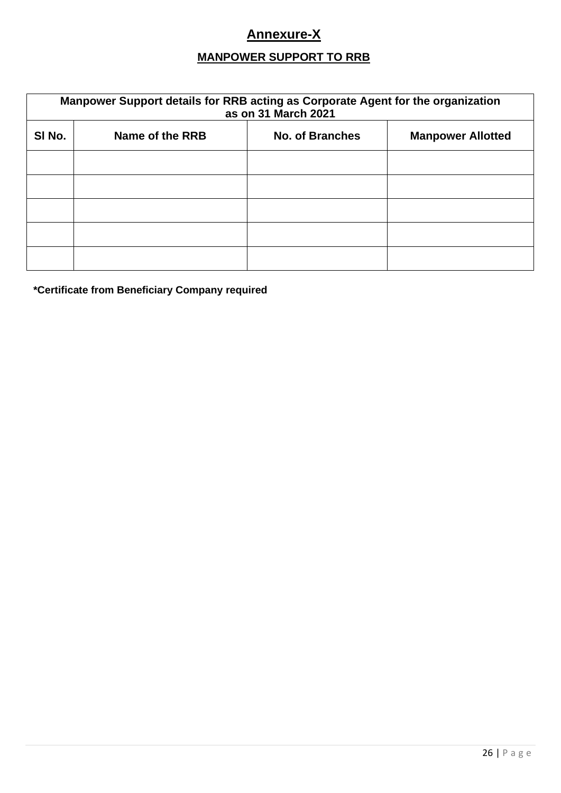# **Annexure-X**

## **MANPOWER SUPPORT TO RRB**

| Manpower Support details for RRB acting as Corporate Agent for the organization<br>as on 31 March 2021 |                 |                        |                          |
|--------------------------------------------------------------------------------------------------------|-----------------|------------------------|--------------------------|
| SI No.                                                                                                 | Name of the RRB | <b>No. of Branches</b> | <b>Manpower Allotted</b> |
|                                                                                                        |                 |                        |                          |
|                                                                                                        |                 |                        |                          |
|                                                                                                        |                 |                        |                          |
|                                                                                                        |                 |                        |                          |
|                                                                                                        |                 |                        |                          |

**\*Certificate from Beneficiary Company required**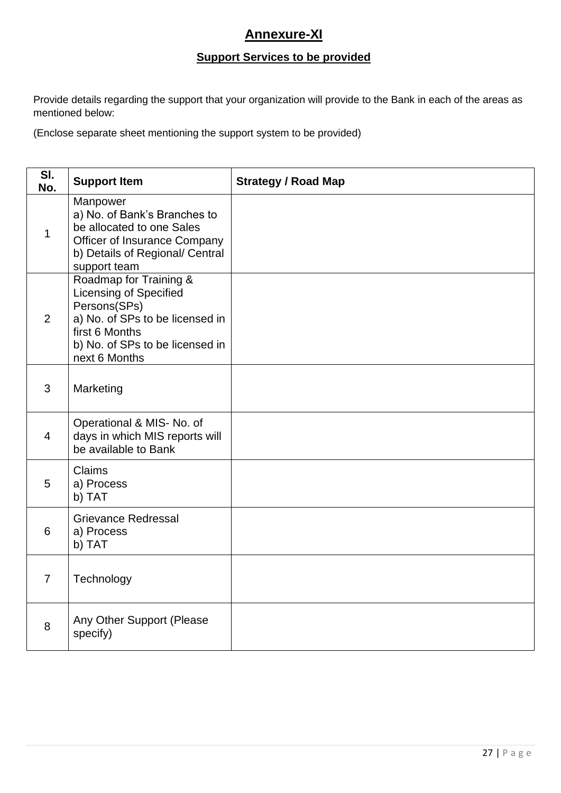## **Annexure-XI**

## **Support Services to be provided**

Provide details regarding the support that your organization will provide to the Bank in each of the areas as mentioned below:

(Enclose separate sheet mentioning the support system to be provided)

| SI.<br>No.     | <b>Support Item</b>                                                                                                                                                              | <b>Strategy / Road Map</b> |
|----------------|----------------------------------------------------------------------------------------------------------------------------------------------------------------------------------|----------------------------|
| 1              | Manpower<br>a) No. of Bank's Branches to<br>be allocated to one Sales<br><b>Officer of Insurance Company</b><br>b) Details of Regional/ Central<br>support team                  |                            |
| 2              | Roadmap for Training &<br><b>Licensing of Specified</b><br>Persons(SPs)<br>a) No. of SPs to be licensed in<br>first 6 Months<br>b) No. of SPs to be licensed in<br>next 6 Months |                            |
| 3              | Marketing                                                                                                                                                                        |                            |
| $\overline{4}$ | Operational & MIS- No. of<br>days in which MIS reports will<br>be available to Bank                                                                                              |                            |
| 5              | Claims<br>a) Process<br>b) TAT                                                                                                                                                   |                            |
| 6              | <b>Grievance Redressal</b><br>a) Process<br>b) TAT                                                                                                                               |                            |
| $\overline{7}$ | Technology                                                                                                                                                                       |                            |
| 8              | Any Other Support (Please<br>specify)                                                                                                                                            |                            |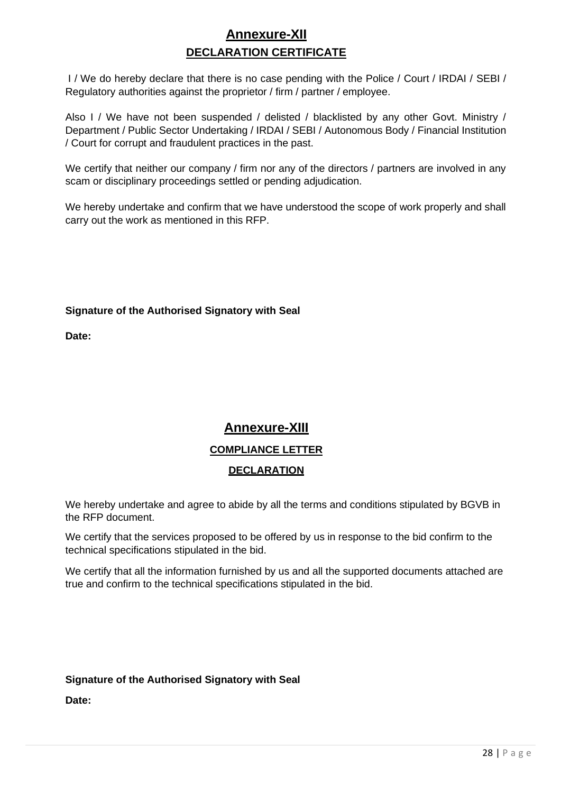# **Annexure-XII DECLARATION CERTIFICATE**

I / We do hereby declare that there is no case pending with the Police / Court / IRDAI / SEBI / Regulatory authorities against the proprietor / firm / partner / employee.

Also I / We have not been suspended / delisted / blacklisted by any other Govt. Ministry / Department / Public Sector Undertaking / IRDAI / SEBI / Autonomous Body / Financial Institution / Court for corrupt and fraudulent practices in the past.

We certify that neither our company / firm nor any of the directors / partners are involved in any scam or disciplinary proceedings settled or pending adjudication.

We hereby undertake and confirm that we have understood the scope of work properly and shall carry out the work as mentioned in this RFP.

#### **Signature of the Authorised Signatory with Seal**

**Date:**

# **Annexure-XIII COMPLIANCE LETTER DECLARATION**

We hereby undertake and agree to abide by all the terms and conditions stipulated by BGVB in the RFP document.

We certify that the services proposed to be offered by us in response to the bid confirm to the technical specifications stipulated in the bid.

We certify that all the information furnished by us and all the supported documents attached are true and confirm to the technical specifications stipulated in the bid.

### **Signature of the Authorised Signatory with Seal**

**Date:**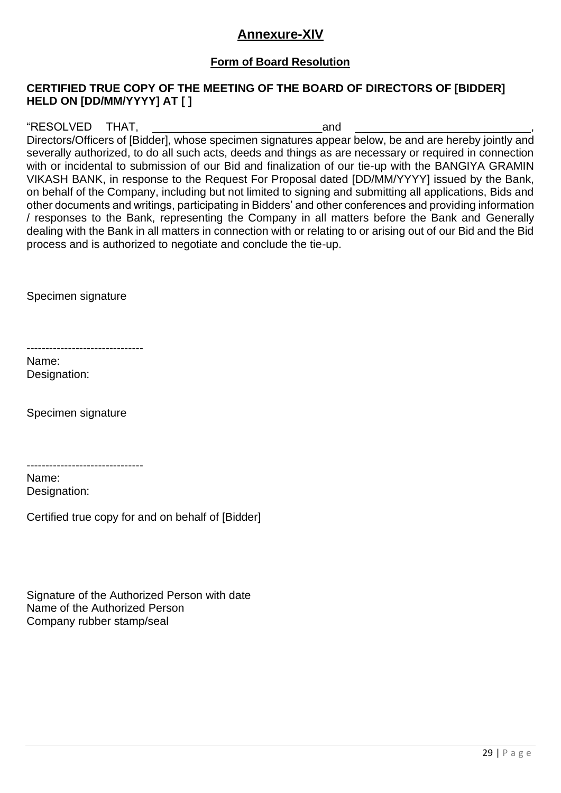## **Annexure-XIV**

### **Form of Board Resolution**

### **CERTIFIED TRUE COPY OF THE MEETING OF THE BOARD OF DIRECTORS OF [BIDDER] HELD ON [DD/MM/YYYY] AT [ ]**

"RESOLVED THAT, THAT, THAT, THAT, THAT, THAT, THAT, THAT, THAT, THAT, THAT, THAT, THAT, THAT, THAT, THAT, THAT, THAT, THAT, THAT, THAT, THAT, THAT, THAT, THAT, THAT, THAT, THAT, THAT, THAT, THAT, THAT, THAT, THAT, THAT, TH

Directors/Officers of [Bidder], whose specimen signatures appear below, be and are hereby jointly and severally authorized, to do all such acts, deeds and things as are necessary or required in connection with or incidental to submission of our Bid and finalization of our tie-up with the BANGIYA GRAMIN VIKASH BANK, in response to the Request For Proposal dated [DD/MM/YYYY] issued by the Bank, on behalf of the Company, including but not limited to signing and submitting all applications, Bids and other documents and writings, participating in Bidders' and other conferences and providing information / responses to the Bank, representing the Company in all matters before the Bank and Generally dealing with the Bank in all matters in connection with or relating to or arising out of our Bid and the Bid process and is authorized to negotiate and conclude the tie-up.

Specimen signature

-------------------------------

Name: Designation:

Specimen signature

-------------------------------

Name: Designation:

Certified true copy for and on behalf of [Bidder]

Signature of the Authorized Person with date Name of the Authorized Person Company rubber stamp/seal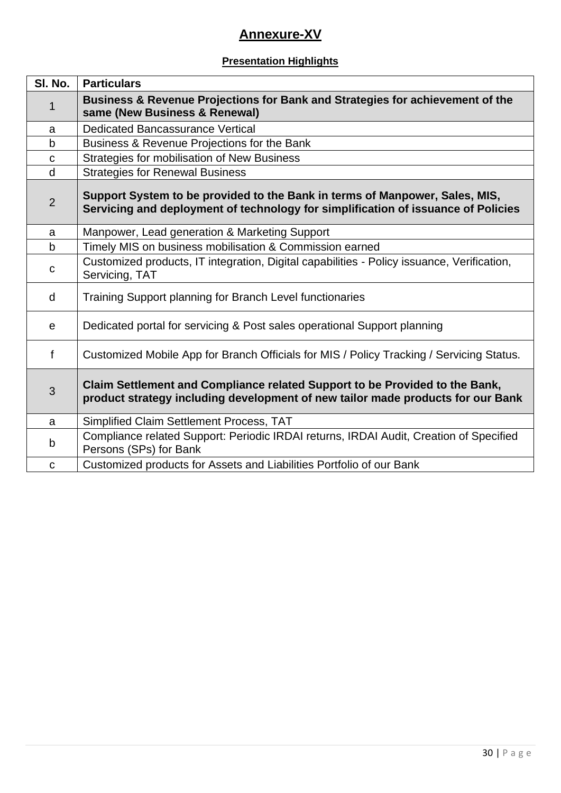# **Annexure-XV**

## **Presentation Highlights**

| SI. No.        | <b>Particulars</b>                                                                                                                                               |  |
|----------------|------------------------------------------------------------------------------------------------------------------------------------------------------------------|--|
| 1              | Business & Revenue Projections for Bank and Strategies for achievement of the<br>same (New Business & Renewal)                                                   |  |
| a              | <b>Dedicated Bancassurance Vertical</b>                                                                                                                          |  |
| $\mathsf b$    | Business & Revenue Projections for the Bank                                                                                                                      |  |
| $\mathbf C$    | Strategies for mobilisation of New Business                                                                                                                      |  |
| d              | <b>Strategies for Renewal Business</b>                                                                                                                           |  |
| $\overline{2}$ | Support System to be provided to the Bank in terms of Manpower, Sales, MIS,<br>Servicing and deployment of technology for simplification of issuance of Policies |  |
| a              | Manpower, Lead generation & Marketing Support                                                                                                                    |  |
| b              | Timely MIS on business mobilisation & Commission earned                                                                                                          |  |
| C              | Customized products, IT integration, Digital capabilities - Policy issuance, Verification,<br>Servicing, TAT                                                     |  |
| d              | Training Support planning for Branch Level functionaries                                                                                                         |  |
| e              | Dedicated portal for servicing & Post sales operational Support planning                                                                                         |  |
| $\mathsf{f}$   | Customized Mobile App for Branch Officials for MIS / Policy Tracking / Servicing Status.                                                                         |  |
| 3              | Claim Settlement and Compliance related Support to be Provided to the Bank,<br>product strategy including development of new tailor made products for our Bank   |  |
| a              | Simplified Claim Settlement Process, TAT                                                                                                                         |  |
| b              | Compliance related Support: Periodic IRDAI returns, IRDAI Audit, Creation of Specified<br>Persons (SPs) for Bank                                                 |  |
| $\mathbf C$    | Customized products for Assets and Liabilities Portfolio of our Bank                                                                                             |  |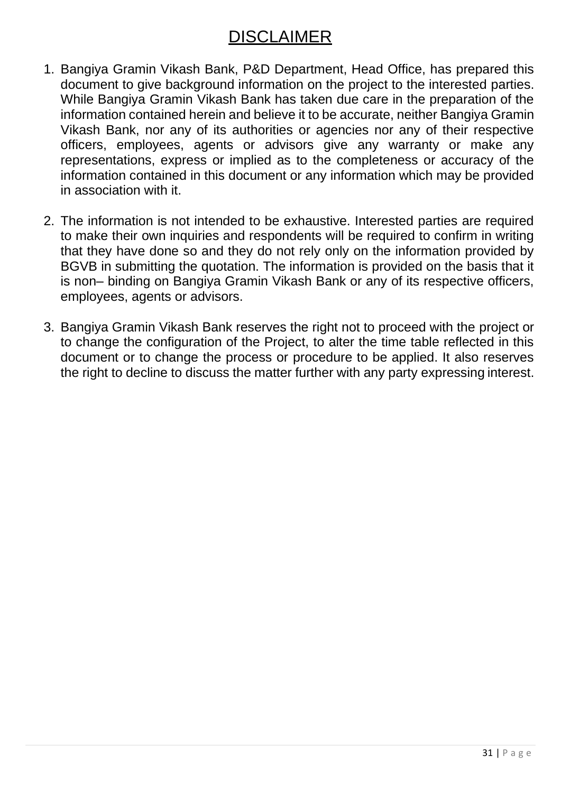# DISCLAIMER

- 1. Bangiya Gramin Vikash Bank, P&D Department, Head Office, has prepared this document to give background information on the project to the interested parties. While Bangiya Gramin Vikash Bank has taken due care in the preparation of the information contained herein and believe it to be accurate, neither Bangiya Gramin Vikash Bank, nor any of its authorities or agencies nor any of their respective officers, employees, agents or advisors give any warranty or make any representations, express or implied as to the completeness or accuracy of the information contained in this document or any information which may be provided in association with it.
- 2. The information is not intended to be exhaustive. Interested parties are required to make their own inquiries and respondents will be required to confirm in writing that they have done so and they do not rely only on the information provided by BGVB in submitting the quotation. The information is provided on the basis that it is non– binding on Bangiya Gramin Vikash Bank or any of its respective officers, employees, agents or advisors.
- 3. Bangiya Gramin Vikash Bank reserves the right not to proceed with the project or to change the configuration of the Project, to alter the time table reflected in this document or to change the process or procedure to be applied. It also reserves the right to decline to discuss the matter further with any party expressing interest.